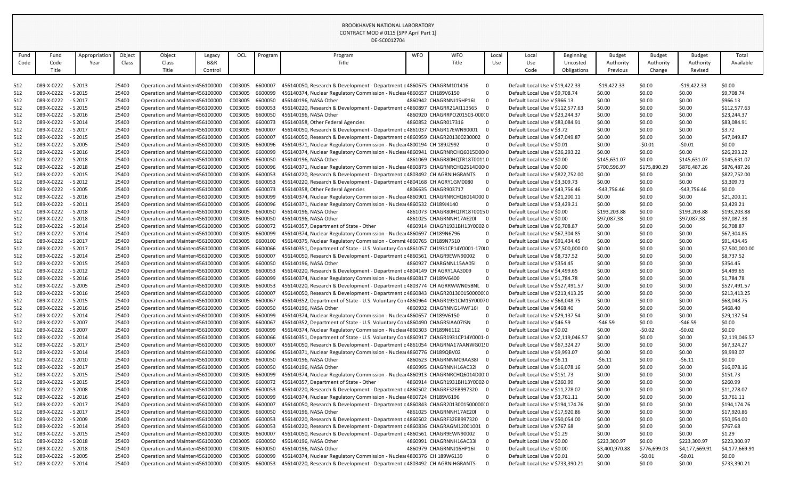| <b>WFO</b><br>Appropriation<br>Object<br>Object<br><b>WFO</b><br>Total<br>Fund<br>OCL<br>Local<br>Local<br><b>Budget</b><br><b>Budget</b><br><b>Budget</b><br>Fund<br>Legacy<br>Program<br>Program<br>Beginning<br>B&R<br>Available<br>Class<br>Class<br>Title<br>Code<br>Title<br>Use<br>Authority<br>Authority<br>Authority<br>Code<br>Year<br>Use<br>Uncosted<br>Title<br>Title<br>Code<br>Control<br>Obligations<br>Previous<br>Change<br>Revised<br>512<br>089-X-0222<br>C003005<br>\$0.00<br>$-$ S 2013<br>25400<br>Operation and Mainter 456100000<br>6600007<br>456140050, Research & Development - Department c 4860675 CHAGRM101416<br>Default Local Use V \$19,422.33<br>-\$19,422.33<br>\$0.00<br>$-$19,422.33$<br>$\overline{0}$<br>\$0.00<br>089-X-0222<br>$-$ S 2015<br>C003005<br>6600099<br>\$0.00<br>\$0.00<br>\$9,708.74<br>512<br>25400<br>Operation and Mainter 456100000<br>456140374, Nuclear Regulatory Commission - Nuclear 4860657 CH189V6150<br>- 0<br>Default Local Use V \$9,708.74<br>\$966.13<br>512<br>089-X-0222<br>$-$ S 2017<br>Operation and Mainter 456100000<br>C003005<br>6600050<br>456140196, NASA Other<br>Default Local Use V \$966.13<br>\$0.00<br>\$0.00<br>25400<br>4860942 CHAGRNNJ15HP16I<br>\$0.00<br>512<br>$-$ S 2015<br>C003005<br>456140220, Research & Development - Department c 4860897 CHAGRR21AI113565<br>\$0.00<br>\$112,577.63<br>089-X-0222<br>25400<br>Operation and Mainter 456100000<br>6600053<br>\$0.00<br>Default Local Use V \$112,577.63<br>\$0.00<br>512<br>089-X-0222<br>- S 2016<br>C003005<br>6600050<br>\$0.00<br>\$23,244.37<br>25400<br>Operation and Mainter 456100000<br>456140196, NASA Other<br>4860920 CHAGRRPO201503-00010<br>Default Local Use V \$23,244.37<br>\$0.00<br>\$0.00<br>089-X-0222<br>$-$ S 2014<br>Operation and Mainter 456100000<br>C003005<br>6600073<br>456140358, Other Federal Agencies<br>4860852 CHAGR017316<br>Default Local Use V \$83,084.91<br>\$83,084.91<br>512<br>25400<br>\$0.00<br>- 0<br>\$0.00<br>\$0.00<br>\$0.00<br>\$3.72<br>512<br>$-$ S 2017<br>Operation and Mainter 456100000<br>C003005<br>456140050, Research & Development - Department c 4861037 CHAGR17EWN90001<br>\$0.00<br>\$0.00<br>089-X-0222<br>25400<br>660000<br>Default Local Use V \$3.72<br>C003005<br>512<br>089-X-0222<br>$-$ S 2015<br>25400<br>Operation and Mainter 456100000<br>6600007<br>456140050, Research & Development - Department c 4860959 CHAGR201300230002 0<br>Default Local Use V \$47,049.87<br>\$0.00<br>\$0.00<br>\$47,049.87<br>\$0.00<br>\$0.00<br>512<br>- S 2005<br>C003005<br>089-X-0222<br>25400<br>Operation and Mainter 456100000<br>6600096<br>\$0.00<br>$-50.01$<br>$-50.01$<br>456140371, Nuclear Regulatory Commission - Nuclear 4800194 CH 189J2992<br>Default Local Use V \$0.01<br>\$0.00<br>\$26,293.22<br>512<br>089-X-0222<br>$-$ S 2016<br>25400<br>Operation and Mainter 456100000<br>C003005<br>6600099<br>\$0.00<br>\$0.00<br>456140374, Nuclear Regulatory Commission - Nuclear 4860941 CHAGRNRCHQ6015D00r0<br>Default Local Use V \$26,293.22<br>089-X-0222<br>Operation and Mainter 456100000<br>C003005<br>6600050<br>Default Local Use V \$0.00<br>\$0.00<br>\$145,631.07<br>512<br>- S 2018<br>25400<br>456140196, NASA Other<br>4861069 CHAGR80HQTR18T00110<br>\$145,631.07<br>\$145,631.07<br>C003005<br>512<br>089-X-0222<br>$-$ S 2018<br>456140371, Nuclear Regulatory Commission - Nuclear 4860873 CHAGRNRCHQ2514D00r0<br>\$700,596.97<br>\$175,890.29<br>\$876,487.26<br>\$876,487.26<br>25400<br>Operation and Mainter 456100000<br>6600096<br>Default Local Use V \$0.00<br>C003005<br>512<br>089-X-0222<br>$-$ S 2015<br>25400<br>Operation and Mainter 456100000<br>6600053<br>456140220, Research & Development - Department c 4803492 CH AGRNIHGRANTS<br>Default Local Use V \$822,752.00<br>\$0.00<br>\$0.00<br>\$0.00<br>\$822,752.00<br>512<br>$-$ S 2012<br>C003005<br>\$0.00<br>089-X-0222<br>25400<br>Operation and Mainter 456100000<br>6600053<br>\$0.00<br>\$0.00<br>\$3,309.73<br>456140220, Research & Development - Department c 4804168 CH AGRY1GM0080<br>- 0<br>Default Local Use V \$3,309.73<br>512<br>089-X-0222<br>- S 2005<br>25400<br>Operation and Mainter 456100000<br>C003005<br>6600073<br>456140358, Other Federal Agencies<br>4806635 CHAGR903717<br>Default Local Use V \$43,756.46<br>$-$43,756.46$<br>\$0.00<br>$-$43,756.46$<br>\$0.00<br>- 0<br>089-X-0222<br>$-$ S 2016<br>Operation and Mainter 456100000<br>C003005<br>6600099<br>456140374, Nuclear Regulatory Commission - Nuclear 4860901 CHAGRNRCHQ6014D00 0<br>\$21,200.11<br>512<br>25400<br>Default Local Use V \$21,200.11<br>\$0.00<br>\$0.00<br>\$0.00<br>C003005<br>\$0.00<br>\$3,429.21<br>512<br>089-X-0222<br>$-$ S 2011<br>25400<br>6600096<br>\$0.00<br>\$0.00<br>Operation and Mainter 456100000<br>456140371, Nuclear Regulatory Commission - Nuclea 4860532 CH189J4140<br>Default Local Use V \$3,429.21<br>C003005<br>\$193,203.88<br>512<br>089-X-0222<br>$-$ S 2018<br>25400<br>Operation and Mainter 456100000<br>6600050<br>456140196, NASA Other<br>4861073 CHAGR80HQTR18T00150<br>Default Local Use V \$0.00<br>\$193,203.88<br>\$0.00<br>\$193,203.88<br>$-$ S 2018<br>C003005<br>512<br>089-X-0222<br>Operation and Mainter 456100000<br>6600050<br>456140196, NASA Other<br>4861025 CHAGRNNH17AE20I<br>\$97,087.38<br>\$0.00<br>\$97,087.38<br>\$97,087.38<br>25400<br>- 0<br>Default Local Use V \$0.00<br>512<br>089-X-0222<br>$-$ S 2014<br>25400<br>Operation and Mainter 456100000<br>C003005<br>6600072<br>456140357, Department of State - Other<br>4860914 CHAGR1931BH13Y0002 0<br>\$0.00<br>\$0.00<br>\$6,708.87<br>Default Local Use V \$6,708.87<br>\$0.00<br>C003005<br>\$67,304.85<br>512<br>089-X-0222<br>$-$ S 2014<br>Operation and Mainter 456100000<br>6600099<br>456140374, Nuclear Regulatory Commission - Nuclear 4860697 CH189N6796<br>Default Local Use V \$67,304.85<br>25400<br>\$0.00<br>\$0.00<br>- 0<br>\$0.00<br>\$0.00<br>512<br>089-X-0222<br>$-$ S 2017<br>25400<br>C003005<br>\$0.00<br>\$91,434.45<br>Operation and Mainter 456100000<br>6600100<br>456140375, Nuclear Regulatory Commission - Commi 4860765 CH189N7510<br>$\Omega$<br>Default Local Use V \$91,434.45<br>\$0.00<br>C003005<br>512<br>089-X-0222<br>$-$ S 2017<br>25400<br>Operation and Mainter 456100000<br>6600066<br>456140351, Department of State - U.S. Voluntary Con 4861057 CH1931CP14Y0001-170(0<br>Default Local Use V \$7,500,000.00<br>\$0.00<br>\$7,500,000.00<br>\$0.00<br>\$0.00<br>C003005<br>\$8,737.52<br>512<br>089-X-0222<br>$-$ S 2014<br>Operation and Mainter 456100000<br>660000<br>\$0.00<br>25400<br>456140050, Research & Development - Department c 4860561 CHAGR9EWN90002<br>- 0<br>Default Local Use V \$8,737.52<br>\$0.00<br>\$0.00<br>\$0.00<br>\$0.00<br>512<br>089-X-0222 - S 2015<br>25400<br>Operation and Mainter 456100000<br>C003005<br>6600050<br>456140196, NASA Other<br>Default Local Use V \$354.45<br>\$0.00<br>\$354.45<br>4860927 CHARGNNL15AA05I<br>456140220, Research & Development - Department c 4804149 CH AGRY1AA3009<br>512<br>089-X-0222<br>$-$ S 2012<br>Operation and Mainter 456100000<br>C003005<br>Default Local Use V \$4,499.65<br>\$4,499.65<br>25400<br>\$0.00<br>\$0.00<br>\$0.00<br>6600053<br>- 0<br>089-X-0222<br>C003005<br>6600099<br>\$0.00<br>\$1,784.78<br>512<br>- S 2016<br>25400<br>Operation and Mainter 456100000<br>456140374, Nuclear Regulatory Commission - Nuclear 4860817 CH189V6400<br>Default Local Use V \$1,784.78<br>\$0.00<br>\$0.00<br>089-X-0222<br>- S 2005<br>C003005<br>6600053<br>456140220, Research & Development - Department c 4803774 CH AGRRWWN05BNL 0<br>\$527,491.57<br>512<br>25400<br>Operation and Mainter 456100000<br>Default Local Use V \$527,491.57<br>\$0.00<br>\$0.00<br>\$0.00<br>$-$ S 2016<br>C003005<br>\$0.00<br>512<br>089-X-0222<br>Operation and Mainter 456100000<br>660000<br>456140050, Research & Development - Department c 4860843 CHAGR2013001500000(0<br>Default Local Use V \$213,413.25<br>\$213,413.25<br>25400<br>\$0.00<br>\$0.00<br>089-X-0222<br>- S 2015<br>C003005<br>6600067<br>\$0.00<br>\$68,048.75<br>512<br>25400<br>Operation and Mainter 456100000<br>456140352, Department of State - U.S. Voluntary Con 4860964 CHAGR1931CM15Y00070<br>Default Local Use V \$68,048.75<br>\$0.00<br>\$0.00<br>C003005<br>089-X-0222<br>$-$ S 2016<br>Operation and Mainter 456100000<br>6600050<br>456140196, NASA Other<br>\$468.40<br>512<br>25400<br>4860932 CHAGRNNG14WF16I 0<br>Default Local Use V \$468.40<br>\$0.00<br>\$0.00<br>\$0.00<br>C003005<br>6600099<br>\$0.00<br>512<br>089-X-0222<br>$-$ S 2014<br>25400<br>Operation and Mainter 456100000<br>456140374, Nuclear Regulatory Commission - Nuclear 4860657 CH189V6150<br>Default Local Use V \$29,137.54<br>\$0.00<br>\$29,137.54<br>\$0.00<br>- 0<br>089-X-0222<br>C003005<br>6600067<br>456140352, Department of State - U.S. Voluntary Con 4860490 CHAGRSIAA07ISN<br>\$0.00<br>512<br>$-$ S 2007<br>25400<br>Operation and Mainter 456100000<br>Default Local Use V \$46.59<br>$-546.59$<br>\$0.00<br>$-546.59$<br>- 0<br>C003005<br>\$0.00<br>089-X-0222<br>$-$ S 2007<br>6600099<br>$-50.02$<br>512<br>25400<br>Operation and Mainter 456100000<br>456140374, Nuclear Regulatory Commission - Nuclear 4860303 CH189N6112<br>Default Local Use V \$0.02<br>\$0.00<br>$-50.02$<br>- 0<br>089-X-0222<br>$-$ S 2014<br>C003005<br>6600066<br>456140351, Department of State - U.S. Voluntary Con 4860917 CHAGR1931CP14Y0001-0<br>\$0.00<br>512<br>25400<br>Operation and Mainter 456100000<br>Default Local Use V \$2,119,046.57<br>\$0.00<br>\$0.00<br>\$2,119,046.57<br>C003005<br>089-X-0222<br>Operation and Mainter 456100000<br>6600007<br>456140050, Research & Development - Department c 4861054 CHAGRNA17AANWG01!0<br>\$67,324.27<br>512<br>- S 2017<br>25400<br>Default Local Use V \$67,324.27<br>\$0.00<br>\$0.00<br>\$0.00<br>C003005<br>6600096<br>\$0.00<br>512<br>089-X-0222<br>$-$ S 2014<br>25400<br>Operation and Mainter 456100000<br>Default Local Use V \$9,993.07<br>\$0.00<br>\$0.00<br>\$9,993.07<br>456140371, Nuclear Regulatory Commission - Nuclear 4860776 CH189QBV02<br>- 0<br>C003005<br>6600050<br>Default Local Use V \$6.11<br>\$0.00<br>512<br>089-X-0222<br>$-52010$<br>25400<br>Operation and Mainter 456100000<br>456140196, NASA Other<br>4860623 CHAGRNNM09AA38I<br>\$0.00<br>$-56.11$<br>$-56.11$<br>C003005<br>512<br>089-X-0222<br>$-$ S 2017<br>6600050<br>456140196, NASA Other<br>\$0.00<br>\$16,078.16<br>25400<br>Operation and Mainter 456100000<br>4860995 CHAGRNNH16AC32I<br>Default Local Use V \$16,078.16<br>\$0.00<br>\$0.00<br>- 0<br>089-X-0222<br>$-$ S 2015<br>C003005<br>6600099<br>\$0.00<br>\$151.73<br>512<br>25400<br>Operation and Mainter 456100000<br>456140374, Nuclear Regulatory Commission - Nuclear 4860913 CHAGRNRCHQ6014D00.0<br>Default Local Use V \$151.73<br>\$0.00<br>\$0.00<br>C003005<br>\$260.99<br>089-X-0222<br>Operation and Mainter 456100000<br>6600072<br>456140357, Department of State - Other<br>512<br>- S 2015<br>25400<br>4860914 CHAGR1931BH13Y0002 0<br>Default Local Use V \$260.99<br>\$0.00<br>\$0.00<br>\$0.00<br>C003005<br>6600053<br>\$0.00<br>512<br>089-X-0222<br>- S 2008<br>25400<br>Operation and Mainter 456100000<br>456140220, Research & Development - Department c 4860502 CHAGRF32EB997320 0<br>Default Local Use V \$11,278.07<br>\$0.00<br>\$0.00<br>\$11,278.07<br>089-X-0222<br>C003005<br>6600099<br>\$3,761.11<br>512<br>- S 2016<br>25400<br>Operation and Mainter 456100000<br>456140374, Nuclear Regulatory Commission - Nuclear 4860724 CH189V6196<br>Default Local Use V \$3,761.11<br>\$0.00<br>\$0.00<br>\$0.00<br>- 0<br>C003005<br>512<br>089-X-0222<br>$-$ S 2017<br>6600007<br>\$0.00<br>\$194,174.76<br>25400<br>Operation and Mainter 456100000<br>456140050, Research & Development - Department c 4860843 CHAGR2013001500000(0<br>Default Local Use V \$194,174.76<br>\$0.00<br>\$0.00<br>089-X-0222<br>$-$ S 2017<br>C003005<br>6600050<br>456140196, NASA Other<br>\$0.00<br>\$17,920.86<br>512<br>25400<br>Operation and Mainter 456100000<br>4861025 CHAGRNNH17AE20I<br>Default Local Use V \$17,920.86<br>\$0.00<br>\$0.00<br>- 0<br>C003005<br>6600053<br>456140220, Research & Development - Department c 4860502 CHAGRF32EB997320 0<br>512<br>089-X-0222<br>- S 2009<br>25400<br>Operation and Mainter 456100000<br>Default Local Use V \$50,054.00<br>\$0.00<br>\$50,054.00<br>\$0.00<br>\$0.00<br>C003005<br>6600053<br>\$0.00<br>\$767.68<br>512<br>089-X-0222<br>- S 2014<br>25400<br>Operation and Mainter 456100000<br>456140220, Research & Development - Department c 4860836 CHAGRAGM12001001 0<br>Default Local Use V \$767.68<br>\$0.00<br>\$0.00<br>\$1.29<br>089-X-0222<br>C003005<br>6600007<br>\$0.00<br>512<br>- S 2015<br>25400<br>Operation and Mainter 456100000<br>456140050, Research & Development - Department c 4860561 CHAGR9EWN90002<br>Default Local Use V \$1.29<br>\$0.00<br>\$0.00<br>C003005<br>512<br>089-X-0222<br>$-$ S 2018<br>6600050<br>456140196, NASA Other<br>\$0.00<br>\$223,300.97<br>\$223,300.97<br>25400<br>Operation and Mainter 456100000<br>4860991 CHAGRNNH16AC33I<br>Default Local Use V \$0.00<br>\$223,300.97<br>089-X-0222<br>$-$ S 2018<br>C003005<br>6600050<br>456140196, NASA Other<br>\$776,699.03<br>512<br>25400<br>Operation and Mainter 456100000<br>4860979 CHAGRNNJ16HP16I<br>Default Local Use V \$0.00<br>\$3,400,970.88<br>\$4,177,669.91<br>\$4,177,669.91<br>C003005<br>Default Local Use V \$0.01<br>089-X-0222<br>- S 2005<br>Operation and Mainter 456100000<br>6600099<br>456140374, Nuclear Regulatory Commission - Nuclear 4800376 CH 189W6139<br>\$0.00<br>512<br>25400<br>- 0<br>\$0.00<br>-\$0.01<br>$-50.01$<br>C003005<br>456140220, Research & Development - Department c 4803492 CH AGRNIHGRANTS<br>\$0.00<br>\$733,390.21<br>089-X-0222 - S 2014<br>25400<br>Operation and Mainter 456100000<br>6600053<br>Default Local Use V \$733,390.21<br>\$0.00<br>\$0.00<br>512 | DE-SC0012704 |  |  |  |  |  |  |  |  |  |  |  |  |  |
|-----------------------------------------------------------------------------------------------------------------------------------------------------------------------------------------------------------------------------------------------------------------------------------------------------------------------------------------------------------------------------------------------------------------------------------------------------------------------------------------------------------------------------------------------------------------------------------------------------------------------------------------------------------------------------------------------------------------------------------------------------------------------------------------------------------------------------------------------------------------------------------------------------------------------------------------------------------------------------------------------------------------------------------------------------------------------------------------------------------------------------------------------------------------------------------------------------------------------------------------------------------------------------------------------------------------------------------------------------------------------------------------------------------------------------------------------------------------------------------------------------------------------------------------------------------------------------------------------------------------------------------------------------------------------------------------------------------------------------------------------------------------------------------------------------------------------------------------------------------------------------------------------------------------------------------------------------------------------------------------------------------------------------------------------------------------------------------------------------------------------------------------------------------------------------------------------------------------------------------------------------------------------------------------------------------------------------------------------------------------------------------------------------------------------------------------------------------------------------------------------------------------------------------------------------------------------------------------------------------------------------------------------------------------------------------------------------------------------------------------------------------------------------------------------------------------------------------------------------------------------------------------------------------------------------------------------------------------------------------------------------------------------------------------------------------------------------------------------------------------------------------------------------------------------------------------------------------------------------------------------------------------------------------------------------------------------------------------------------------------------------------------------------------------------------------------------------------------------------------------------------------------------------------------------------------------------------------------------------------------------------------------------------------------------------------------------------------------------------------------------------------------------------------------------------------------------------------------------------------------------------------------------------------------------------------------------------------------------------------------------------------------------------------------------------------------------------------------------------------------------------------------------------------------------------------------------------------------------------------------------------------------------------------------------------------------------------------------------------------------------------------------------------------------------------------------------------------------------------------------------------------------------------------------------------------------------------------------------------------------------------------------------------------------------------------------------------------------------------------------------------------------------------------------------------------------------------------------------------------------------------------------------------------------------------------------------------------------------------------------------------------------------------------------------------------------------------------------------------------------------------------------------------------------------------------------------------------------------------------------------------------------------------------------------------------------------------------------------------------------------------------------------------------------------------------------------------------------------------------------------------------------------------------------------------------------------------------------------------------------------------------------------------------------------------------------------------------------------------------------------------------------------------------------------------------------------------------------------------------------------------------------------------------------------------------------------------------------------------------------------------------------------------------------------------------------------------------------------------------------------------------------------------------------------------------------------------------------------------------------------------------------------------------------------------------------------------------------------------------------------------------------------------------------------------------------------------------------------------------------------------------------------------------------------------------------------------------------------------------------------------------------------------------------------------------------------------------------------------------------------------------------------------------------------------------------------------------------------------------------------------------------------------------------------------------------------------------------------------------------------------------------------------------------------------------------------------------------------------------------------------------------------------------------------------------------------------------------------------------------------------------------------------------------------------------------------------------------------------------------------------------------------------------------------------------------------------------------------------------------------------------------------------------------------------------------------------------------------------------------------------------------------------------------------------------------------------------------------------------------------------------------------------------------------------------------------------------------------------------------------------------------------------------------------------------------------------------------------------------------------------------------------------------------------------------------------------------------------------------------------------------------------------------------------------------------------------------------------------------------------------------------------------------------------------------------------------------------------------------------------------------------------------------------------------------------------------------------------------------------------------------------------------------------------------------------------------------------------------------------------------------------------------------------------------------------------------------------------------------------------------------------------------------------------------------------------------------------------------------------------------------------------------------------------------------------------------------------------------------------------------------------------------------------------------------------------------------------------------------------------------------------------------------------------------------------------------------------------------------------------------------------------------------------------------------------------------------------------------------------------------------------------------------------------------------------------------------------------------------------------------------------------------------------------------------------------------------------------------------------------------------------------------------------------------------------------------------------------------------------------------------------------------------------------------------------------------------------------------------------------------------------------------------------------------------------------------------------------------------------------------------------------------------------------------------------------------------------------------------------------------------------------------------------------------------------------------------------------------------------------------------------------------------------------------------------------------------------------------------------------------------------------------------------------------------------------------------------------------------------------------------------------------------------------------------------------------------------------------------------------------------------------------------------------------------------------------------------------------------------------------------------------------------------------------------------------------------------------------------------------------------------------------------------------------------------------------------------------------------------------------------------------------------------------------------------------------------------------------------------------------------------------------------------------------------------------------------------------------------------------------------------------------------------------------------------------------------------------------------------------------------------------------------------------------------------------------------------------------------------------------------------------------------------------------------------------------------------------------------------------------------------------------------------------------------------------------------------------------------------------------------------------------------------------------------------------------------------------------------------------------------------------------------------------------------------------------------------------------------------------------------------------------------------------------------------------------------------------------------------------------------------------------------------------------------------------------------------------------------------------------------------------------------------------------------------------------------------------------------------------------------------------------------------------------------------------------------------------------------------------------------------------------------------------------------------------------------------------------------------------------------------------------------------------------------------------------------------------------------------------------------------------------------------------------------------------------------------------------------------------------------------------------------------------------------------------------------------------------------------------------------------------------------------------------------------------------------------------------------------------------------------------------------------------------------------------------------------------------------------------------------------------------------------------------------------------------------------------------------------------------------------------------------------------------------------------------------------------------------------------------------------------------------------------------------------------------------------------------------------------------------------------------------------------------------------------------------------------------------------------------------------------------------------------------------------------------------------------------------------------------------------------------------------------------------------------------------------------------------------------------------------------------------------------------------------------------------------------------------------------------------------------------------------------------------------------|--------------|--|--|--|--|--|--|--|--|--|--|--|--|--|
|                                                                                                                                                                                                                                                                                                                                                                                                                                                                                                                                                                                                                                                                                                                                                                                                                                                                                                                                                                                                                                                                                                                                                                                                                                                                                                                                                                                                                                                                                                                                                                                                                                                                                                                                                                                                                                                                                                                                                                                                                                                                                                                                                                                                                                                                                                                                                                                                                                                                                                                                                                                                                                                                                                                                                                                                                                                                                                                                                                                                                                                                                                                                                                                                                                                                                                                                                                                                                                                                                                                                                                                                                                                                                                                                                                                                                                                                                                                                                                                                                                                                                                                                                                                                                                                                                                                                                                                                                                                                                                                                                                                                                                                                                                                                                                                                                                                                                                                                                                                                                                                                                                                                                                                                                                                                                                                                                                                                                                                                                                                                                                                                                                                                                                                                                                                                                                                                                                                                                                                                                                                                                                                                                                                                                                                                                                                                                                                                                                                                                                                                                                                                                                                                                                                                                                                                                                                                                                                                                                                                                                                                                                                                                                                                                                                                                                                                                                                                                                                                                                                                                                                                                                                                                                                                                                                                                                                                                                                                                                                                                                                                                                                                                                                                                                                                                                                                                                                                                                                                                                                                                                                                                                                                                                                                                                                                                                                                                                                                                                                                                                                                                                                                                                                                                                                                                                                                                                                                                                                                                                                                                                                                                                                                                                                                                                                                                                                                                                                                                                                                                                                                                                                                                                                                                                                                                                                                                                                                                                                                                                                                                                                                                                                                                                                                                                                                                                                                                                                                                                                                                                                                                                                                                                                                                                                                                                                                                                                                                                                                                                                                                                                                                                                                                                                                                                                                                                                                                                                                                                                                                                                                                                                                                                                                                                                                                                                                                                                                                                                                                                                                                                                                                                                                                                                                                                                                                                                                                                                                                                                                                                                                                                                                                                                                                                                                                                                                                                                                                                                                                                                                                                                                                                                                                                                                                                                                                                                                                                                                                                                                                                                                                                                                                                                               |              |  |  |  |  |  |  |  |  |  |  |  |  |  |
|                                                                                                                                                                                                                                                                                                                                                                                                                                                                                                                                                                                                                                                                                                                                                                                                                                                                                                                                                                                                                                                                                                                                                                                                                                                                                                                                                                                                                                                                                                                                                                                                                                                                                                                                                                                                                                                                                                                                                                                                                                                                                                                                                                                                                                                                                                                                                                                                                                                                                                                                                                                                                                                                                                                                                                                                                                                                                                                                                                                                                                                                                                                                                                                                                                                                                                                                                                                                                                                                                                                                                                                                                                                                                                                                                                                                                                                                                                                                                                                                                                                                                                                                                                                                                                                                                                                                                                                                                                                                                                                                                                                                                                                                                                                                                                                                                                                                                                                                                                                                                                                                                                                                                                                                                                                                                                                                                                                                                                                                                                                                                                                                                                                                                                                                                                                                                                                                                                                                                                                                                                                                                                                                                                                                                                                                                                                                                                                                                                                                                                                                                                                                                                                                                                                                                                                                                                                                                                                                                                                                                                                                                                                                                                                                                                                                                                                                                                                                                                                                                                                                                                                                                                                                                                                                                                                                                                                                                                                                                                                                                                                                                                                                                                                                                                                                                                                                                                                                                                                                                                                                                                                                                                                                                                                                                                                                                                                                                                                                                                                                                                                                                                                                                                                                                                                                                                                                                                                                                                                                                                                                                                                                                                                                                                                                                                                                                                                                                                                                                                                                                                                                                                                                                                                                                                                                                                                                                                                                                                                                                                                                                                                                                                                                                                                                                                                                                                                                                                                                                                                                                                                                                                                                                                                                                                                                                                                                                                                                                                                                                                                                                                                                                                                                                                                                                                                                                                                                                                                                                                                                                                                                                                                                                                                                                                                                                                                                                                                                                                                                                                                                                                                                                                                                                                                                                                                                                                                                                                                                                                                                                                                                                                                                                                                                                                                                                                                                                                                                                                                                                                                                                                                                                                                                                                                                                                                                                                                                                                                                                                                                                                                                                                                                                                                               |              |  |  |  |  |  |  |  |  |  |  |  |  |  |
|                                                                                                                                                                                                                                                                                                                                                                                                                                                                                                                                                                                                                                                                                                                                                                                                                                                                                                                                                                                                                                                                                                                                                                                                                                                                                                                                                                                                                                                                                                                                                                                                                                                                                                                                                                                                                                                                                                                                                                                                                                                                                                                                                                                                                                                                                                                                                                                                                                                                                                                                                                                                                                                                                                                                                                                                                                                                                                                                                                                                                                                                                                                                                                                                                                                                                                                                                                                                                                                                                                                                                                                                                                                                                                                                                                                                                                                                                                                                                                                                                                                                                                                                                                                                                                                                                                                                                                                                                                                                                                                                                                                                                                                                                                                                                                                                                                                                                                                                                                                                                                                                                                                                                                                                                                                                                                                                                                                                                                                                                                                                                                                                                                                                                                                                                                                                                                                                                                                                                                                                                                                                                                                                                                                                                                                                                                                                                                                                                                                                                                                                                                                                                                                                                                                                                                                                                                                                                                                                                                                                                                                                                                                                                                                                                                                                                                                                                                                                                                                                                                                                                                                                                                                                                                                                                                                                                                                                                                                                                                                                                                                                                                                                                                                                                                                                                                                                                                                                                                                                                                                                                                                                                                                                                                                                                                                                                                                                                                                                                                                                                                                                                                                                                                                                                                                                                                                                                                                                                                                                                                                                                                                                                                                                                                                                                                                                                                                                                                                                                                                                                                                                                                                                                                                                                                                                                                                                                                                                                                                                                                                                                                                                                                                                                                                                                                                                                                                                                                                                                                                                                                                                                                                                                                                                                                                                                                                                                                                                                                                                                                                                                                                                                                                                                                                                                                                                                                                                                                                                                                                                                                                                                                                                                                                                                                                                                                                                                                                                                                                                                                                                                                                                                                                                                                                                                                                                                                                                                                                                                                                                                                                                                                                                                                                                                                                                                                                                                                                                                                                                                                                                                                                                                                                                                                                                                                                                                                                                                                                                                                                                                                                                                                                                                                                               |              |  |  |  |  |  |  |  |  |  |  |  |  |  |
|                                                                                                                                                                                                                                                                                                                                                                                                                                                                                                                                                                                                                                                                                                                                                                                                                                                                                                                                                                                                                                                                                                                                                                                                                                                                                                                                                                                                                                                                                                                                                                                                                                                                                                                                                                                                                                                                                                                                                                                                                                                                                                                                                                                                                                                                                                                                                                                                                                                                                                                                                                                                                                                                                                                                                                                                                                                                                                                                                                                                                                                                                                                                                                                                                                                                                                                                                                                                                                                                                                                                                                                                                                                                                                                                                                                                                                                                                                                                                                                                                                                                                                                                                                                                                                                                                                                                                                                                                                                                                                                                                                                                                                                                                                                                                                                                                                                                                                                                                                                                                                                                                                                                                                                                                                                                                                                                                                                                                                                                                                                                                                                                                                                                                                                                                                                                                                                                                                                                                                                                                                                                                                                                                                                                                                                                                                                                                                                                                                                                                                                                                                                                                                                                                                                                                                                                                                                                                                                                                                                                                                                                                                                                                                                                                                                                                                                                                                                                                                                                                                                                                                                                                                                                                                                                                                                                                                                                                                                                                                                                                                                                                                                                                                                                                                                                                                                                                                                                                                                                                                                                                                                                                                                                                                                                                                                                                                                                                                                                                                                                                                                                                                                                                                                                                                                                                                                                                                                                                                                                                                                                                                                                                                                                                                                                                                                                                                                                                                                                                                                                                                                                                                                                                                                                                                                                                                                                                                                                                                                                                                                                                                                                                                                                                                                                                                                                                                                                                                                                                                                                                                                                                                                                                                                                                                                                                                                                                                                                                                                                                                                                                                                                                                                                                                                                                                                                                                                                                                                                                                                                                                                                                                                                                                                                                                                                                                                                                                                                                                                                                                                                                                                                                                                                                                                                                                                                                                                                                                                                                                                                                                                                                                                                                                                                                                                                                                                                                                                                                                                                                                                                                                                                                                                                                                                                                                                                                                                                                                                                                                                                                                                                                                                                                                                               |              |  |  |  |  |  |  |  |  |  |  |  |  |  |
|                                                                                                                                                                                                                                                                                                                                                                                                                                                                                                                                                                                                                                                                                                                                                                                                                                                                                                                                                                                                                                                                                                                                                                                                                                                                                                                                                                                                                                                                                                                                                                                                                                                                                                                                                                                                                                                                                                                                                                                                                                                                                                                                                                                                                                                                                                                                                                                                                                                                                                                                                                                                                                                                                                                                                                                                                                                                                                                                                                                                                                                                                                                                                                                                                                                                                                                                                                                                                                                                                                                                                                                                                                                                                                                                                                                                                                                                                                                                                                                                                                                                                                                                                                                                                                                                                                                                                                                                                                                                                                                                                                                                                                                                                                                                                                                                                                                                                                                                                                                                                                                                                                                                                                                                                                                                                                                                                                                                                                                                                                                                                                                                                                                                                                                                                                                                                                                                                                                                                                                                                                                                                                                                                                                                                                                                                                                                                                                                                                                                                                                                                                                                                                                                                                                                                                                                                                                                                                                                                                                                                                                                                                                                                                                                                                                                                                                                                                                                                                                                                                                                                                                                                                                                                                                                                                                                                                                                                                                                                                                                                                                                                                                                                                                                                                                                                                                                                                                                                                                                                                                                                                                                                                                                                                                                                                                                                                                                                                                                                                                                                                                                                                                                                                                                                                                                                                                                                                                                                                                                                                                                                                                                                                                                                                                                                                                                                                                                                                                                                                                                                                                                                                                                                                                                                                                                                                                                                                                                                                                                                                                                                                                                                                                                                                                                                                                                                                                                                                                                                                                                                                                                                                                                                                                                                                                                                                                                                                                                                                                                                                                                                                                                                                                                                                                                                                                                                                                                                                                                                                                                                                                                                                                                                                                                                                                                                                                                                                                                                                                                                                                                                                                                                                                                                                                                                                                                                                                                                                                                                                                                                                                                                                                                                                                                                                                                                                                                                                                                                                                                                                                                                                                                                                                                                                                                                                                                                                                                                                                                                                                                                                                                                                                                                                                               |              |  |  |  |  |  |  |  |  |  |  |  |  |  |
|                                                                                                                                                                                                                                                                                                                                                                                                                                                                                                                                                                                                                                                                                                                                                                                                                                                                                                                                                                                                                                                                                                                                                                                                                                                                                                                                                                                                                                                                                                                                                                                                                                                                                                                                                                                                                                                                                                                                                                                                                                                                                                                                                                                                                                                                                                                                                                                                                                                                                                                                                                                                                                                                                                                                                                                                                                                                                                                                                                                                                                                                                                                                                                                                                                                                                                                                                                                                                                                                                                                                                                                                                                                                                                                                                                                                                                                                                                                                                                                                                                                                                                                                                                                                                                                                                                                                                                                                                                                                                                                                                                                                                                                                                                                                                                                                                                                                                                                                                                                                                                                                                                                                                                                                                                                                                                                                                                                                                                                                                                                                                                                                                                                                                                                                                                                                                                                                                                                                                                                                                                                                                                                                                                                                                                                                                                                                                                                                                                                                                                                                                                                                                                                                                                                                                                                                                                                                                                                                                                                                                                                                                                                                                                                                                                                                                                                                                                                                                                                                                                                                                                                                                                                                                                                                                                                                                                                                                                                                                                                                                                                                                                                                                                                                                                                                                                                                                                                                                                                                                                                                                                                                                                                                                                                                                                                                                                                                                                                                                                                                                                                                                                                                                                                                                                                                                                                                                                                                                                                                                                                                                                                                                                                                                                                                                                                                                                                                                                                                                                                                                                                                                                                                                                                                                                                                                                                                                                                                                                                                                                                                                                                                                                                                                                                                                                                                                                                                                                                                                                                                                                                                                                                                                                                                                                                                                                                                                                                                                                                                                                                                                                                                                                                                                                                                                                                                                                                                                                                                                                                                                                                                                                                                                                                                                                                                                                                                                                                                                                                                                                                                                                                                                                                                                                                                                                                                                                                                                                                                                                                                                                                                                                                                                                                                                                                                                                                                                                                                                                                                                                                                                                                                                                                                                                                                                                                                                                                                                                                                                                                                                                                                                                                                                                                               |              |  |  |  |  |  |  |  |  |  |  |  |  |  |
|                                                                                                                                                                                                                                                                                                                                                                                                                                                                                                                                                                                                                                                                                                                                                                                                                                                                                                                                                                                                                                                                                                                                                                                                                                                                                                                                                                                                                                                                                                                                                                                                                                                                                                                                                                                                                                                                                                                                                                                                                                                                                                                                                                                                                                                                                                                                                                                                                                                                                                                                                                                                                                                                                                                                                                                                                                                                                                                                                                                                                                                                                                                                                                                                                                                                                                                                                                                                                                                                                                                                                                                                                                                                                                                                                                                                                                                                                                                                                                                                                                                                                                                                                                                                                                                                                                                                                                                                                                                                                                                                                                                                                                                                                                                                                                                                                                                                                                                                                                                                                                                                                                                                                                                                                                                                                                                                                                                                                                                                                                                                                                                                                                                                                                                                                                                                                                                                                                                                                                                                                                                                                                                                                                                                                                                                                                                                                                                                                                                                                                                                                                                                                                                                                                                                                                                                                                                                                                                                                                                                                                                                                                                                                                                                                                                                                                                                                                                                                                                                                                                                                                                                                                                                                                                                                                                                                                                                                                                                                                                                                                                                                                                                                                                                                                                                                                                                                                                                                                                                                                                                                                                                                                                                                                                                                                                                                                                                                                                                                                                                                                                                                                                                                                                                                                                                                                                                                                                                                                                                                                                                                                                                                                                                                                                                                                                                                                                                                                                                                                                                                                                                                                                                                                                                                                                                                                                                                                                                                                                                                                                                                                                                                                                                                                                                                                                                                                                                                                                                                                                                                                                                                                                                                                                                                                                                                                                                                                                                                                                                                                                                                                                                                                                                                                                                                                                                                                                                                                                                                                                                                                                                                                                                                                                                                                                                                                                                                                                                                                                                                                                                                                                                                                                                                                                                                                                                                                                                                                                                                                                                                                                                                                                                                                                                                                                                                                                                                                                                                                                                                                                                                                                                                                                                                                                                                                                                                                                                                                                                                                                                                                                                                                                                                                                               |              |  |  |  |  |  |  |  |  |  |  |  |  |  |
|                                                                                                                                                                                                                                                                                                                                                                                                                                                                                                                                                                                                                                                                                                                                                                                                                                                                                                                                                                                                                                                                                                                                                                                                                                                                                                                                                                                                                                                                                                                                                                                                                                                                                                                                                                                                                                                                                                                                                                                                                                                                                                                                                                                                                                                                                                                                                                                                                                                                                                                                                                                                                                                                                                                                                                                                                                                                                                                                                                                                                                                                                                                                                                                                                                                                                                                                                                                                                                                                                                                                                                                                                                                                                                                                                                                                                                                                                                                                                                                                                                                                                                                                                                                                                                                                                                                                                                                                                                                                                                                                                                                                                                                                                                                                                                                                                                                                                                                                                                                                                                                                                                                                                                                                                                                                                                                                                                                                                                                                                                                                                                                                                                                                                                                                                                                                                                                                                                                                                                                                                                                                                                                                                                                                                                                                                                                                                                                                                                                                                                                                                                                                                                                                                                                                                                                                                                                                                                                                                                                                                                                                                                                                                                                                                                                                                                                                                                                                                                                                                                                                                                                                                                                                                                                                                                                                                                                                                                                                                                                                                                                                                                                                                                                                                                                                                                                                                                                                                                                                                                                                                                                                                                                                                                                                                                                                                                                                                                                                                                                                                                                                                                                                                                                                                                                                                                                                                                                                                                                                                                                                                                                                                                                                                                                                                                                                                                                                                                                                                                                                                                                                                                                                                                                                                                                                                                                                                                                                                                                                                                                                                                                                                                                                                                                                                                                                                                                                                                                                                                                                                                                                                                                                                                                                                                                                                                                                                                                                                                                                                                                                                                                                                                                                                                                                                                                                                                                                                                                                                                                                                                                                                                                                                                                                                                                                                                                                                                                                                                                                                                                                                                                                                                                                                                                                                                                                                                                                                                                                                                                                                                                                                                                                                                                                                                                                                                                                                                                                                                                                                                                                                                                                                                                                                                                                                                                                                                                                                                                                                                                                                                                                                                                                                                                               |              |  |  |  |  |  |  |  |  |  |  |  |  |  |
|                                                                                                                                                                                                                                                                                                                                                                                                                                                                                                                                                                                                                                                                                                                                                                                                                                                                                                                                                                                                                                                                                                                                                                                                                                                                                                                                                                                                                                                                                                                                                                                                                                                                                                                                                                                                                                                                                                                                                                                                                                                                                                                                                                                                                                                                                                                                                                                                                                                                                                                                                                                                                                                                                                                                                                                                                                                                                                                                                                                                                                                                                                                                                                                                                                                                                                                                                                                                                                                                                                                                                                                                                                                                                                                                                                                                                                                                                                                                                                                                                                                                                                                                                                                                                                                                                                                                                                                                                                                                                                                                                                                                                                                                                                                                                                                                                                                                                                                                                                                                                                                                                                                                                                                                                                                                                                                                                                                                                                                                                                                                                                                                                                                                                                                                                                                                                                                                                                                                                                                                                                                                                                                                                                                                                                                                                                                                                                                                                                                                                                                                                                                                                                                                                                                                                                                                                                                                                                                                                                                                                                                                                                                                                                                                                                                                                                                                                                                                                                                                                                                                                                                                                                                                                                                                                                                                                                                                                                                                                                                                                                                                                                                                                                                                                                                                                                                                                                                                                                                                                                                                                                                                                                                                                                                                                                                                                                                                                                                                                                                                                                                                                                                                                                                                                                                                                                                                                                                                                                                                                                                                                                                                                                                                                                                                                                                                                                                                                                                                                                                                                                                                                                                                                                                                                                                                                                                                                                                                                                                                                                                                                                                                                                                                                                                                                                                                                                                                                                                                                                                                                                                                                                                                                                                                                                                                                                                                                                                                                                                                                                                                                                                                                                                                                                                                                                                                                                                                                                                                                                                                                                                                                                                                                                                                                                                                                                                                                                                                                                                                                                                                                                                                                                                                                                                                                                                                                                                                                                                                                                                                                                                                                                                                                                                                                                                                                                                                                                                                                                                                                                                                                                                                                                                                                                                                                                                                                                                                                                                                                                                                                                                                                                                                                                                               |              |  |  |  |  |  |  |  |  |  |  |  |  |  |
|                                                                                                                                                                                                                                                                                                                                                                                                                                                                                                                                                                                                                                                                                                                                                                                                                                                                                                                                                                                                                                                                                                                                                                                                                                                                                                                                                                                                                                                                                                                                                                                                                                                                                                                                                                                                                                                                                                                                                                                                                                                                                                                                                                                                                                                                                                                                                                                                                                                                                                                                                                                                                                                                                                                                                                                                                                                                                                                                                                                                                                                                                                                                                                                                                                                                                                                                                                                                                                                                                                                                                                                                                                                                                                                                                                                                                                                                                                                                                                                                                                                                                                                                                                                                                                                                                                                                                                                                                                                                                                                                                                                                                                                                                                                                                                                                                                                                                                                                                                                                                                                                                                                                                                                                                                                                                                                                                                                                                                                                                                                                                                                                                                                                                                                                                                                                                                                                                                                                                                                                                                                                                                                                                                                                                                                                                                                                                                                                                                                                                                                                                                                                                                                                                                                                                                                                                                                                                                                                                                                                                                                                                                                                                                                                                                                                                                                                                                                                                                                                                                                                                                                                                                                                                                                                                                                                                                                                                                                                                                                                                                                                                                                                                                                                                                                                                                                                                                                                                                                                                                                                                                                                                                                                                                                                                                                                                                                                                                                                                                                                                                                                                                                                                                                                                                                                                                                                                                                                                                                                                                                                                                                                                                                                                                                                                                                                                                                                                                                                                                                                                                                                                                                                                                                                                                                                                                                                                                                                                                                                                                                                                                                                                                                                                                                                                                                                                                                                                                                                                                                                                                                                                                                                                                                                                                                                                                                                                                                                                                                                                                                                                                                                                                                                                                                                                                                                                                                                                                                                                                                                                                                                                                                                                                                                                                                                                                                                                                                                                                                                                                                                                                                                                                                                                                                                                                                                                                                                                                                                                                                                                                                                                                                                                                                                                                                                                                                                                                                                                                                                                                                                                                                                                                                                                                                                                                                                                                                                                                                                                                                                                                                                                                                                                                                               |              |  |  |  |  |  |  |  |  |  |  |  |  |  |
|                                                                                                                                                                                                                                                                                                                                                                                                                                                                                                                                                                                                                                                                                                                                                                                                                                                                                                                                                                                                                                                                                                                                                                                                                                                                                                                                                                                                                                                                                                                                                                                                                                                                                                                                                                                                                                                                                                                                                                                                                                                                                                                                                                                                                                                                                                                                                                                                                                                                                                                                                                                                                                                                                                                                                                                                                                                                                                                                                                                                                                                                                                                                                                                                                                                                                                                                                                                                                                                                                                                                                                                                                                                                                                                                                                                                                                                                                                                                                                                                                                                                                                                                                                                                                                                                                                                                                                                                                                                                                                                                                                                                                                                                                                                                                                                                                                                                                                                                                                                                                                                                                                                                                                                                                                                                                                                                                                                                                                                                                                                                                                                                                                                                                                                                                                                                                                                                                                                                                                                                                                                                                                                                                                                                                                                                                                                                                                                                                                                                                                                                                                                                                                                                                                                                                                                                                                                                                                                                                                                                                                                                                                                                                                                                                                                                                                                                                                                                                                                                                                                                                                                                                                                                                                                                                                                                                                                                                                                                                                                                                                                                                                                                                                                                                                                                                                                                                                                                                                                                                                                                                                                                                                                                                                                                                                                                                                                                                                                                                                                                                                                                                                                                                                                                                                                                                                                                                                                                                                                                                                                                                                                                                                                                                                                                                                                                                                                                                                                                                                                                                                                                                                                                                                                                                                                                                                                                                                                                                                                                                                                                                                                                                                                                                                                                                                                                                                                                                                                                                                                                                                                                                                                                                                                                                                                                                                                                                                                                                                                                                                                                                                                                                                                                                                                                                                                                                                                                                                                                                                                                                                                                                                                                                                                                                                                                                                                                                                                                                                                                                                                                                                                                                                                                                                                                                                                                                                                                                                                                                                                                                                                                                                                                                                                                                                                                                                                                                                                                                                                                                                                                                                                                                                                                                                                                                                                                                                                                                                                                                                                                                                                                                                                                                                                               |              |  |  |  |  |  |  |  |  |  |  |  |  |  |
|                                                                                                                                                                                                                                                                                                                                                                                                                                                                                                                                                                                                                                                                                                                                                                                                                                                                                                                                                                                                                                                                                                                                                                                                                                                                                                                                                                                                                                                                                                                                                                                                                                                                                                                                                                                                                                                                                                                                                                                                                                                                                                                                                                                                                                                                                                                                                                                                                                                                                                                                                                                                                                                                                                                                                                                                                                                                                                                                                                                                                                                                                                                                                                                                                                                                                                                                                                                                                                                                                                                                                                                                                                                                                                                                                                                                                                                                                                                                                                                                                                                                                                                                                                                                                                                                                                                                                                                                                                                                                                                                                                                                                                                                                                                                                                                                                                                                                                                                                                                                                                                                                                                                                                                                                                                                                                                                                                                                                                                                                                                                                                                                                                                                                                                                                                                                                                                                                                                                                                                                                                                                                                                                                                                                                                                                                                                                                                                                                                                                                                                                                                                                                                                                                                                                                                                                                                                                                                                                                                                                                                                                                                                                                                                                                                                                                                                                                                                                                                                                                                                                                                                                                                                                                                                                                                                                                                                                                                                                                                                                                                                                                                                                                                                                                                                                                                                                                                                                                                                                                                                                                                                                                                                                                                                                                                                                                                                                                                                                                                                                                                                                                                                                                                                                                                                                                                                                                                                                                                                                                                                                                                                                                                                                                                                                                                                                                                                                                                                                                                                                                                                                                                                                                                                                                                                                                                                                                                                                                                                                                                                                                                                                                                                                                                                                                                                                                                                                                                                                                                                                                                                                                                                                                                                                                                                                                                                                                                                                                                                                                                                                                                                                                                                                                                                                                                                                                                                                                                                                                                                                                                                                                                                                                                                                                                                                                                                                                                                                                                                                                                                                                                                                                                                                                                                                                                                                                                                                                                                                                                                                                                                                                                                                                                                                                                                                                                                                                                                                                                                                                                                                                                                                                                                                                                                                                                                                                                                                                                                                                                                                                                                                                                                                                                                               |              |  |  |  |  |  |  |  |  |  |  |  |  |  |
|                                                                                                                                                                                                                                                                                                                                                                                                                                                                                                                                                                                                                                                                                                                                                                                                                                                                                                                                                                                                                                                                                                                                                                                                                                                                                                                                                                                                                                                                                                                                                                                                                                                                                                                                                                                                                                                                                                                                                                                                                                                                                                                                                                                                                                                                                                                                                                                                                                                                                                                                                                                                                                                                                                                                                                                                                                                                                                                                                                                                                                                                                                                                                                                                                                                                                                                                                                                                                                                                                                                                                                                                                                                                                                                                                                                                                                                                                                                                                                                                                                                                                                                                                                                                                                                                                                                                                                                                                                                                                                                                                                                                                                                                                                                                                                                                                                                                                                                                                                                                                                                                                                                                                                                                                                                                                                                                                                                                                                                                                                                                                                                                                                                                                                                                                                                                                                                                                                                                                                                                                                                                                                                                                                                                                                                                                                                                                                                                                                                                                                                                                                                                                                                                                                                                                                                                                                                                                                                                                                                                                                                                                                                                                                                                                                                                                                                                                                                                                                                                                                                                                                                                                                                                                                                                                                                                                                                                                                                                                                                                                                                                                                                                                                                                                                                                                                                                                                                                                                                                                                                                                                                                                                                                                                                                                                                                                                                                                                                                                                                                                                                                                                                                                                                                                                                                                                                                                                                                                                                                                                                                                                                                                                                                                                                                                                                                                                                                                                                                                                                                                                                                                                                                                                                                                                                                                                                                                                                                                                                                                                                                                                                                                                                                                                                                                                                                                                                                                                                                                                                                                                                                                                                                                                                                                                                                                                                                                                                                                                                                                                                                                                                                                                                                                                                                                                                                                                                                                                                                                                                                                                                                                                                                                                                                                                                                                                                                                                                                                                                                                                                                                                                                                                                                                                                                                                                                                                                                                                                                                                                                                                                                                                                                                                                                                                                                                                                                                                                                                                                                                                                                                                                                                                                                                                                                                                                                                                                                                                                                                                                                                                                                                                                                                                                               |              |  |  |  |  |  |  |  |  |  |  |  |  |  |
|                                                                                                                                                                                                                                                                                                                                                                                                                                                                                                                                                                                                                                                                                                                                                                                                                                                                                                                                                                                                                                                                                                                                                                                                                                                                                                                                                                                                                                                                                                                                                                                                                                                                                                                                                                                                                                                                                                                                                                                                                                                                                                                                                                                                                                                                                                                                                                                                                                                                                                                                                                                                                                                                                                                                                                                                                                                                                                                                                                                                                                                                                                                                                                                                                                                                                                                                                                                                                                                                                                                                                                                                                                                                                                                                                                                                                                                                                                                                                                                                                                                                                                                                                                                                                                                                                                                                                                                                                                                                                                                                                                                                                                                                                                                                                                                                                                                                                                                                                                                                                                                                                                                                                                                                                                                                                                                                                                                                                                                                                                                                                                                                                                                                                                                                                                                                                                                                                                                                                                                                                                                                                                                                                                                                                                                                                                                                                                                                                                                                                                                                                                                                                                                                                                                                                                                                                                                                                                                                                                                                                                                                                                                                                                                                                                                                                                                                                                                                                                                                                                                                                                                                                                                                                                                                                                                                                                                                                                                                                                                                                                                                                                                                                                                                                                                                                                                                                                                                                                                                                                                                                                                                                                                                                                                                                                                                                                                                                                                                                                                                                                                                                                                                                                                                                                                                                                                                                                                                                                                                                                                                                                                                                                                                                                                                                                                                                                                                                                                                                                                                                                                                                                                                                                                                                                                                                                                                                                                                                                                                                                                                                                                                                                                                                                                                                                                                                                                                                                                                                                                                                                                                                                                                                                                                                                                                                                                                                                                                                                                                                                                                                                                                                                                                                                                                                                                                                                                                                                                                                                                                                                                                                                                                                                                                                                                                                                                                                                                                                                                                                                                                                                                                                                                                                                                                                                                                                                                                                                                                                                                                                                                                                                                                                                                                                                                                                                                                                                                                                                                                                                                                                                                                                                                                                                                                                                                                                                                                                                                                                                                                                                                                                                                                                                                               |              |  |  |  |  |  |  |  |  |  |  |  |  |  |
|                                                                                                                                                                                                                                                                                                                                                                                                                                                                                                                                                                                                                                                                                                                                                                                                                                                                                                                                                                                                                                                                                                                                                                                                                                                                                                                                                                                                                                                                                                                                                                                                                                                                                                                                                                                                                                                                                                                                                                                                                                                                                                                                                                                                                                                                                                                                                                                                                                                                                                                                                                                                                                                                                                                                                                                                                                                                                                                                                                                                                                                                                                                                                                                                                                                                                                                                                                                                                                                                                                                                                                                                                                                                                                                                                                                                                                                                                                                                                                                                                                                                                                                                                                                                                                                                                                                                                                                                                                                                                                                                                                                                                                                                                                                                                                                                                                                                                                                                                                                                                                                                                                                                                                                                                                                                                                                                                                                                                                                                                                                                                                                                                                                                                                                                                                                                                                                                                                                                                                                                                                                                                                                                                                                                                                                                                                                                                                                                                                                                                                                                                                                                                                                                                                                                                                                                                                                                                                                                                                                                                                                                                                                                                                                                                                                                                                                                                                                                                                                                                                                                                                                                                                                                                                                                                                                                                                                                                                                                                                                                                                                                                                                                                                                                                                                                                                                                                                                                                                                                                                                                                                                                                                                                                                                                                                                                                                                                                                                                                                                                                                                                                                                                                                                                                                                                                                                                                                                                                                                                                                                                                                                                                                                                                                                                                                                                                                                                                                                                                                                                                                                                                                                                                                                                                                                                                                                                                                                                                                                                                                                                                                                                                                                                                                                                                                                                                                                                                                                                                                                                                                                                                                                                                                                                                                                                                                                                                                                                                                                                                                                                                                                                                                                                                                                                                                                                                                                                                                                                                                                                                                                                                                                                                                                                                                                                                                                                                                                                                                                                                                                                                                                                                                                                                                                                                                                                                                                                                                                                                                                                                                                                                                                                                                                                                                                                                                                                                                                                                                                                                                                                                                                                                                                                                                                                                                                                                                                                                                                                                                                                                                                                                                                                                                                               |              |  |  |  |  |  |  |  |  |  |  |  |  |  |
|                                                                                                                                                                                                                                                                                                                                                                                                                                                                                                                                                                                                                                                                                                                                                                                                                                                                                                                                                                                                                                                                                                                                                                                                                                                                                                                                                                                                                                                                                                                                                                                                                                                                                                                                                                                                                                                                                                                                                                                                                                                                                                                                                                                                                                                                                                                                                                                                                                                                                                                                                                                                                                                                                                                                                                                                                                                                                                                                                                                                                                                                                                                                                                                                                                                                                                                                                                                                                                                                                                                                                                                                                                                                                                                                                                                                                                                                                                                                                                                                                                                                                                                                                                                                                                                                                                                                                                                                                                                                                                                                                                                                                                                                                                                                                                                                                                                                                                                                                                                                                                                                                                                                                                                                                                                                                                                                                                                                                                                                                                                                                                                                                                                                                                                                                                                                                                                                                                                                                                                                                                                                                                                                                                                                                                                                                                                                                                                                                                                                                                                                                                                                                                                                                                                                                                                                                                                                                                                                                                                                                                                                                                                                                                                                                                                                                                                                                                                                                                                                                                                                                                                                                                                                                                                                                                                                                                                                                                                                                                                                                                                                                                                                                                                                                                                                                                                                                                                                                                                                                                                                                                                                                                                                                                                                                                                                                                                                                                                                                                                                                                                                                                                                                                                                                                                                                                                                                                                                                                                                                                                                                                                                                                                                                                                                                                                                                                                                                                                                                                                                                                                                                                                                                                                                                                                                                                                                                                                                                                                                                                                                                                                                                                                                                                                                                                                                                                                                                                                                                                                                                                                                                                                                                                                                                                                                                                                                                                                                                                                                                                                                                                                                                                                                                                                                                                                                                                                                                                                                                                                                                                                                                                                                                                                                                                                                                                                                                                                                                                                                                                                                                                                                                                                                                                                                                                                                                                                                                                                                                                                                                                                                                                                                                                                                                                                                                                                                                                                                                                                                                                                                                                                                                                                                                                                                                                                                                                                                                                                                                                                                                                                                                                                                                                                               |              |  |  |  |  |  |  |  |  |  |  |  |  |  |
|                                                                                                                                                                                                                                                                                                                                                                                                                                                                                                                                                                                                                                                                                                                                                                                                                                                                                                                                                                                                                                                                                                                                                                                                                                                                                                                                                                                                                                                                                                                                                                                                                                                                                                                                                                                                                                                                                                                                                                                                                                                                                                                                                                                                                                                                                                                                                                                                                                                                                                                                                                                                                                                                                                                                                                                                                                                                                                                                                                                                                                                                                                                                                                                                                                                                                                                                                                                                                                                                                                                                                                                                                                                                                                                                                                                                                                                                                                                                                                                                                                                                                                                                                                                                                                                                                                                                                                                                                                                                                                                                                                                                                                                                                                                                                                                                                                                                                                                                                                                                                                                                                                                                                                                                                                                                                                                                                                                                                                                                                                                                                                                                                                                                                                                                                                                                                                                                                                                                                                                                                                                                                                                                                                                                                                                                                                                                                                                                                                                                                                                                                                                                                                                                                                                                                                                                                                                                                                                                                                                                                                                                                                                                                                                                                                                                                                                                                                                                                                                                                                                                                                                                                                                                                                                                                                                                                                                                                                                                                                                                                                                                                                                                                                                                                                                                                                                                                                                                                                                                                                                                                                                                                                                                                                                                                                                                                                                                                                                                                                                                                                                                                                                                                                                                                                                                                                                                                                                                                                                                                                                                                                                                                                                                                                                                                                                                                                                                                                                                                                                                                                                                                                                                                                                                                                                                                                                                                                                                                                                                                                                                                                                                                                                                                                                                                                                                                                                                                                                                                                                                                                                                                                                                                                                                                                                                                                                                                                                                                                                                                                                                                                                                                                                                                                                                                                                                                                                                                                                                                                                                                                                                                                                                                                                                                                                                                                                                                                                                                                                                                                                                                                                                                                                                                                                                                                                                                                                                                                                                                                                                                                                                                                                                                                                                                                                                                                                                                                                                                                                                                                                                                                                                                                                                                                                                                                                                                                                                                                                                                                                                                                                                                                                                                                                               |              |  |  |  |  |  |  |  |  |  |  |  |  |  |
|                                                                                                                                                                                                                                                                                                                                                                                                                                                                                                                                                                                                                                                                                                                                                                                                                                                                                                                                                                                                                                                                                                                                                                                                                                                                                                                                                                                                                                                                                                                                                                                                                                                                                                                                                                                                                                                                                                                                                                                                                                                                                                                                                                                                                                                                                                                                                                                                                                                                                                                                                                                                                                                                                                                                                                                                                                                                                                                                                                                                                                                                                                                                                                                                                                                                                                                                                                                                                                                                                                                                                                                                                                                                                                                                                                                                                                                                                                                                                                                                                                                                                                                                                                                                                                                                                                                                                                                                                                                                                                                                                                                                                                                                                                                                                                                                                                                                                                                                                                                                                                                                                                                                                                                                                                                                                                                                                                                                                                                                                                                                                                                                                                                                                                                                                                                                                                                                                                                                                                                                                                                                                                                                                                                                                                                                                                                                                                                                                                                                                                                                                                                                                                                                                                                                                                                                                                                                                                                                                                                                                                                                                                                                                                                                                                                                                                                                                                                                                                                                                                                                                                                                                                                                                                                                                                                                                                                                                                                                                                                                                                                                                                                                                                                                                                                                                                                                                                                                                                                                                                                                                                                                                                                                                                                                                                                                                                                                                                                                                                                                                                                                                                                                                                                                                                                                                                                                                                                                                                                                                                                                                                                                                                                                                                                                                                                                                                                                                                                                                                                                                                                                                                                                                                                                                                                                                                                                                                                                                                                                                                                                                                                                                                                                                                                                                                                                                                                                                                                                                                                                                                                                                                                                                                                                                                                                                                                                                                                                                                                                                                                                                                                                                                                                                                                                                                                                                                                                                                                                                                                                                                                                                                                                                                                                                                                                                                                                                                                                                                                                                                                                                                                                                                                                                                                                                                                                                                                                                                                                                                                                                                                                                                                                                                                                                                                                                                                                                                                                                                                                                                                                                                                                                                                                                                                                                                                                                                                                                                                                                                                                                                                                                                                                                                                               |              |  |  |  |  |  |  |  |  |  |  |  |  |  |
|                                                                                                                                                                                                                                                                                                                                                                                                                                                                                                                                                                                                                                                                                                                                                                                                                                                                                                                                                                                                                                                                                                                                                                                                                                                                                                                                                                                                                                                                                                                                                                                                                                                                                                                                                                                                                                                                                                                                                                                                                                                                                                                                                                                                                                                                                                                                                                                                                                                                                                                                                                                                                                                                                                                                                                                                                                                                                                                                                                                                                                                                                                                                                                                                                                                                                                                                                                                                                                                                                                                                                                                                                                                                                                                                                                                                                                                                                                                                                                                                                                                                                                                                                                                                                                                                                                                                                                                                                                                                                                                                                                                                                                                                                                                                                                                                                                                                                                                                                                                                                                                                                                                                                                                                                                                                                                                                                                                                                                                                                                                                                                                                                                                                                                                                                                                                                                                                                                                                                                                                                                                                                                                                                                                                                                                                                                                                                                                                                                                                                                                                                                                                                                                                                                                                                                                                                                                                                                                                                                                                                                                                                                                                                                                                                                                                                                                                                                                                                                                                                                                                                                                                                                                                                                                                                                                                                                                                                                                                                                                                                                                                                                                                                                                                                                                                                                                                                                                                                                                                                                                                                                                                                                                                                                                                                                                                                                                                                                                                                                                                                                                                                                                                                                                                                                                                                                                                                                                                                                                                                                                                                                                                                                                                                                                                                                                                                                                                                                                                                                                                                                                                                                                                                                                                                                                                                                                                                                                                                                                                                                                                                                                                                                                                                                                                                                                                                                                                                                                                                                                                                                                                                                                                                                                                                                                                                                                                                                                                                                                                                                                                                                                                                                                                                                                                                                                                                                                                                                                                                                                                                                                                                                                                                                                                                                                                                                                                                                                                                                                                                                                                                                                                                                                                                                                                                                                                                                                                                                                                                                                                                                                                                                                                                                                                                                                                                                                                                                                                                                                                                                                                                                                                                                                                                                                                                                                                                                                                                                                                                                                                                                                                                                                                                                                               |              |  |  |  |  |  |  |  |  |  |  |  |  |  |
|                                                                                                                                                                                                                                                                                                                                                                                                                                                                                                                                                                                                                                                                                                                                                                                                                                                                                                                                                                                                                                                                                                                                                                                                                                                                                                                                                                                                                                                                                                                                                                                                                                                                                                                                                                                                                                                                                                                                                                                                                                                                                                                                                                                                                                                                                                                                                                                                                                                                                                                                                                                                                                                                                                                                                                                                                                                                                                                                                                                                                                                                                                                                                                                                                                                                                                                                                                                                                                                                                                                                                                                                                                                                                                                                                                                                                                                                                                                                                                                                                                                                                                                                                                                                                                                                                                                                                                                                                                                                                                                                                                                                                                                                                                                                                                                                                                                                                                                                                                                                                                                                                                                                                                                                                                                                                                                                                                                                                                                                                                                                                                                                                                                                                                                                                                                                                                                                                                                                                                                                                                                                                                                                                                                                                                                                                                                                                                                                                                                                                                                                                                                                                                                                                                                                                                                                                                                                                                                                                                                                                                                                                                                                                                                                                                                                                                                                                                                                                                                                                                                                                                                                                                                                                                                                                                                                                                                                                                                                                                                                                                                                                                                                                                                                                                                                                                                                                                                                                                                                                                                                                                                                                                                                                                                                                                                                                                                                                                                                                                                                                                                                                                                                                                                                                                                                                                                                                                                                                                                                                                                                                                                                                                                                                                                                                                                                                                                                                                                                                                                                                                                                                                                                                                                                                                                                                                                                                                                                                                                                                                                                                                                                                                                                                                                                                                                                                                                                                                                                                                                                                                                                                                                                                                                                                                                                                                                                                                                                                                                                                                                                                                                                                                                                                                                                                                                                                                                                                                                                                                                                                                                                                                                                                                                                                                                                                                                                                                                                                                                                                                                                                                                                                                                                                                                                                                                                                                                                                                                                                                                                                                                                                                                                                                                                                                                                                                                                                                                                                                                                                                                                                                                                                                                                                                                                                                                                                                                                                                                                                                                                                                                                                                                                                                                               |              |  |  |  |  |  |  |  |  |  |  |  |  |  |
|                                                                                                                                                                                                                                                                                                                                                                                                                                                                                                                                                                                                                                                                                                                                                                                                                                                                                                                                                                                                                                                                                                                                                                                                                                                                                                                                                                                                                                                                                                                                                                                                                                                                                                                                                                                                                                                                                                                                                                                                                                                                                                                                                                                                                                                                                                                                                                                                                                                                                                                                                                                                                                                                                                                                                                                                                                                                                                                                                                                                                                                                                                                                                                                                                                                                                                                                                                                                                                                                                                                                                                                                                                                                                                                                                                                                                                                                                                                                                                                                                                                                                                                                                                                                                                                                                                                                                                                                                                                                                                                                                                                                                                                                                                                                                                                                                                                                                                                                                                                                                                                                                                                                                                                                                                                                                                                                                                                                                                                                                                                                                                                                                                                                                                                                                                                                                                                                                                                                                                                                                                                                                                                                                                                                                                                                                                                                                                                                                                                                                                                                                                                                                                                                                                                                                                                                                                                                                                                                                                                                                                                                                                                                                                                                                                                                                                                                                                                                                                                                                                                                                                                                                                                                                                                                                                                                                                                                                                                                                                                                                                                                                                                                                                                                                                                                                                                                                                                                                                                                                                                                                                                                                                                                                                                                                                                                                                                                                                                                                                                                                                                                                                                                                                                                                                                                                                                                                                                                                                                                                                                                                                                                                                                                                                                                                                                                                                                                                                                                                                                                                                                                                                                                                                                                                                                                                                                                                                                                                                                                                                                                                                                                                                                                                                                                                                                                                                                                                                                                                                                                                                                                                                                                                                                                                                                                                                                                                                                                                                                                                                                                                                                                                                                                                                                                                                                                                                                                                                                                                                                                                                                                                                                                                                                                                                                                                                                                                                                                                                                                                                                                                                                                                                                                                                                                                                                                                                                                                                                                                                                                                                                                                                                                                                                                                                                                                                                                                                                                                                                                                                                                                                                                                                                                                                                                                                                                                                                                                                                                                                                                                                                                                                                                                                                               |              |  |  |  |  |  |  |  |  |  |  |  |  |  |
|                                                                                                                                                                                                                                                                                                                                                                                                                                                                                                                                                                                                                                                                                                                                                                                                                                                                                                                                                                                                                                                                                                                                                                                                                                                                                                                                                                                                                                                                                                                                                                                                                                                                                                                                                                                                                                                                                                                                                                                                                                                                                                                                                                                                                                                                                                                                                                                                                                                                                                                                                                                                                                                                                                                                                                                                                                                                                                                                                                                                                                                                                                                                                                                                                                                                                                                                                                                                                                                                                                                                                                                                                                                                                                                                                                                                                                                                                                                                                                                                                                                                                                                                                                                                                                                                                                                                                                                                                                                                                                                                                                                                                                                                                                                                                                                                                                                                                                                                                                                                                                                                                                                                                                                                                                                                                                                                                                                                                                                                                                                                                                                                                                                                                                                                                                                                                                                                                                                                                                                                                                                                                                                                                                                                                                                                                                                                                                                                                                                                                                                                                                                                                                                                                                                                                                                                                                                                                                                                                                                                                                                                                                                                                                                                                                                                                                                                                                                                                                                                                                                                                                                                                                                                                                                                                                                                                                                                                                                                                                                                                                                                                                                                                                                                                                                                                                                                                                                                                                                                                                                                                                                                                                                                                                                                                                                                                                                                                                                                                                                                                                                                                                                                                                                                                                                                                                                                                                                                                                                                                                                                                                                                                                                                                                                                                                                                                                                                                                                                                                                                                                                                                                                                                                                                                                                                                                                                                                                                                                                                                                                                                                                                                                                                                                                                                                                                                                                                                                                                                                                                                                                                                                                                                                                                                                                                                                                                                                                                                                                                                                                                                                                                                                                                                                                                                                                                                                                                                                                                                                                                                                                                                                                                                                                                                                                                                                                                                                                                                                                                                                                                                                                                                                                                                                                                                                                                                                                                                                                                                                                                                                                                                                                                                                                                                                                                                                                                                                                                                                                                                                                                                                                                                                                                                                                                                                                                                                                                                                                                                                                                                                                                                                                                                                                               |              |  |  |  |  |  |  |  |  |  |  |  |  |  |
|                                                                                                                                                                                                                                                                                                                                                                                                                                                                                                                                                                                                                                                                                                                                                                                                                                                                                                                                                                                                                                                                                                                                                                                                                                                                                                                                                                                                                                                                                                                                                                                                                                                                                                                                                                                                                                                                                                                                                                                                                                                                                                                                                                                                                                                                                                                                                                                                                                                                                                                                                                                                                                                                                                                                                                                                                                                                                                                                                                                                                                                                                                                                                                                                                                                                                                                                                                                                                                                                                                                                                                                                                                                                                                                                                                                                                                                                                                                                                                                                                                                                                                                                                                                                                                                                                                                                                                                                                                                                                                                                                                                                                                                                                                                                                                                                                                                                                                                                                                                                                                                                                                                                                                                                                                                                                                                                                                                                                                                                                                                                                                                                                                                                                                                                                                                                                                                                                                                                                                                                                                                                                                                                                                                                                                                                                                                                                                                                                                                                                                                                                                                                                                                                                                                                                                                                                                                                                                                                                                                                                                                                                                                                                                                                                                                                                                                                                                                                                                                                                                                                                                                                                                                                                                                                                                                                                                                                                                                                                                                                                                                                                                                                                                                                                                                                                                                                                                                                                                                                                                                                                                                                                                                                                                                                                                                                                                                                                                                                                                                                                                                                                                                                                                                                                                                                                                                                                                                                                                                                                                                                                                                                                                                                                                                                                                                                                                                                                                                                                                                                                                                                                                                                                                                                                                                                                                                                                                                                                                                                                                                                                                                                                                                                                                                                                                                                                                                                                                                                                                                                                                                                                                                                                                                                                                                                                                                                                                                                                                                                                                                                                                                                                                                                                                                                                                                                                                                                                                                                                                                                                                                                                                                                                                                                                                                                                                                                                                                                                                                                                                                                                                                                                                                                                                                                                                                                                                                                                                                                                                                                                                                                                                                                                                                                                                                                                                                                                                                                                                                                                                                                                                                                                                                                                                                                                                                                                                                                                                                                                                                                                                                                                                                                                                                               |              |  |  |  |  |  |  |  |  |  |  |  |  |  |
|                                                                                                                                                                                                                                                                                                                                                                                                                                                                                                                                                                                                                                                                                                                                                                                                                                                                                                                                                                                                                                                                                                                                                                                                                                                                                                                                                                                                                                                                                                                                                                                                                                                                                                                                                                                                                                                                                                                                                                                                                                                                                                                                                                                                                                                                                                                                                                                                                                                                                                                                                                                                                                                                                                                                                                                                                                                                                                                                                                                                                                                                                                                                                                                                                                                                                                                                                                                                                                                                                                                                                                                                                                                                                                                                                                                                                                                                                                                                                                                                                                                                                                                                                                                                                                                                                                                                                                                                                                                                                                                                                                                                                                                                                                                                                                                                                                                                                                                                                                                                                                                                                                                                                                                                                                                                                                                                                                                                                                                                                                                                                                                                                                                                                                                                                                                                                                                                                                                                                                                                                                                                                                                                                                                                                                                                                                                                                                                                                                                                                                                                                                                                                                                                                                                                                                                                                                                                                                                                                                                                                                                                                                                                                                                                                                                                                                                                                                                                                                                                                                                                                                                                                                                                                                                                                                                                                                                                                                                                                                                                                                                                                                                                                                                                                                                                                                                                                                                                                                                                                                                                                                                                                                                                                                                                                                                                                                                                                                                                                                                                                                                                                                                                                                                                                                                                                                                                                                                                                                                                                                                                                                                                                                                                                                                                                                                                                                                                                                                                                                                                                                                                                                                                                                                                                                                                                                                                                                                                                                                                                                                                                                                                                                                                                                                                                                                                                                                                                                                                                                                                                                                                                                                                                                                                                                                                                                                                                                                                                                                                                                                                                                                                                                                                                                                                                                                                                                                                                                                                                                                                                                                                                                                                                                                                                                                                                                                                                                                                                                                                                                                                                                                                                                                                                                                                                                                                                                                                                                                                                                                                                                                                                                                                                                                                                                                                                                                                                                                                                                                                                                                                                                                                                                                                                                                                                                                                                                                                                                                                                                                                                                                                                                                                                                                               |              |  |  |  |  |  |  |  |  |  |  |  |  |  |
|                                                                                                                                                                                                                                                                                                                                                                                                                                                                                                                                                                                                                                                                                                                                                                                                                                                                                                                                                                                                                                                                                                                                                                                                                                                                                                                                                                                                                                                                                                                                                                                                                                                                                                                                                                                                                                                                                                                                                                                                                                                                                                                                                                                                                                                                                                                                                                                                                                                                                                                                                                                                                                                                                                                                                                                                                                                                                                                                                                                                                                                                                                                                                                                                                                                                                                                                                                                                                                                                                                                                                                                                                                                                                                                                                                                                                                                                                                                                                                                                                                                                                                                                                                                                                                                                                                                                                                                                                                                                                                                                                                                                                                                                                                                                                                                                                                                                                                                                                                                                                                                                                                                                                                                                                                                                                                                                                                                                                                                                                                                                                                                                                                                                                                                                                                                                                                                                                                                                                                                                                                                                                                                                                                                                                                                                                                                                                                                                                                                                                                                                                                                                                                                                                                                                                                                                                                                                                                                                                                                                                                                                                                                                                                                                                                                                                                                                                                                                                                                                                                                                                                                                                                                                                                                                                                                                                                                                                                                                                                                                                                                                                                                                                                                                                                                                                                                                                                                                                                                                                                                                                                                                                                                                                                                                                                                                                                                                                                                                                                                                                                                                                                                                                                                                                                                                                                                                                                                                                                                                                                                                                                                                                                                                                                                                                                                                                                                                                                                                                                                                                                                                                                                                                                                                                                                                                                                                                                                                                                                                                                                                                                                                                                                                                                                                                                                                                                                                                                                                                                                                                                                                                                                                                                                                                                                                                                                                                                                                                                                                                                                                                                                                                                                                                                                                                                                                                                                                                                                                                                                                                                                                                                                                                                                                                                                                                                                                                                                                                                                                                                                                                                                                                                                                                                                                                                                                                                                                                                                                                                                                                                                                                                                                                                                                                                                                                                                                                                                                                                                                                                                                                                                                                                                                                                                                                                                                                                                                                                                                                                                                                                                                                                                                                                                               |              |  |  |  |  |  |  |  |  |  |  |  |  |  |
|                                                                                                                                                                                                                                                                                                                                                                                                                                                                                                                                                                                                                                                                                                                                                                                                                                                                                                                                                                                                                                                                                                                                                                                                                                                                                                                                                                                                                                                                                                                                                                                                                                                                                                                                                                                                                                                                                                                                                                                                                                                                                                                                                                                                                                                                                                                                                                                                                                                                                                                                                                                                                                                                                                                                                                                                                                                                                                                                                                                                                                                                                                                                                                                                                                                                                                                                                                                                                                                                                                                                                                                                                                                                                                                                                                                                                                                                                                                                                                                                                                                                                                                                                                                                                                                                                                                                                                                                                                                                                                                                                                                                                                                                                                                                                                                                                                                                                                                                                                                                                                                                                                                                                                                                                                                                                                                                                                                                                                                                                                                                                                                                                                                                                                                                                                                                                                                                                                                                                                                                                                                                                                                                                                                                                                                                                                                                                                                                                                                                                                                                                                                                                                                                                                                                                                                                                                                                                                                                                                                                                                                                                                                                                                                                                                                                                                                                                                                                                                                                                                                                                                                                                                                                                                                                                                                                                                                                                                                                                                                                                                                                                                                                                                                                                                                                                                                                                                                                                                                                                                                                                                                                                                                                                                                                                                                                                                                                                                                                                                                                                                                                                                                                                                                                                                                                                                                                                                                                                                                                                                                                                                                                                                                                                                                                                                                                                                                                                                                                                                                                                                                                                                                                                                                                                                                                                                                                                                                                                                                                                                                                                                                                                                                                                                                                                                                                                                                                                                                                                                                                                                                                                                                                                                                                                                                                                                                                                                                                                                                                                                                                                                                                                                                                                                                                                                                                                                                                                                                                                                                                                                                                                                                                                                                                                                                                                                                                                                                                                                                                                                                                                                                                                                                                                                                                                                                                                                                                                                                                                                                                                                                                                                                                                                                                                                                                                                                                                                                                                                                                                                                                                                                                                                                                                                                                                                                                                                                                                                                                                                                                                                                                                                                                                                                               |              |  |  |  |  |  |  |  |  |  |  |  |  |  |
|                                                                                                                                                                                                                                                                                                                                                                                                                                                                                                                                                                                                                                                                                                                                                                                                                                                                                                                                                                                                                                                                                                                                                                                                                                                                                                                                                                                                                                                                                                                                                                                                                                                                                                                                                                                                                                                                                                                                                                                                                                                                                                                                                                                                                                                                                                                                                                                                                                                                                                                                                                                                                                                                                                                                                                                                                                                                                                                                                                                                                                                                                                                                                                                                                                                                                                                                                                                                                                                                                                                                                                                                                                                                                                                                                                                                                                                                                                                                                                                                                                                                                                                                                                                                                                                                                                                                                                                                                                                                                                                                                                                                                                                                                                                                                                                                                                                                                                                                                                                                                                                                                                                                                                                                                                                                                                                                                                                                                                                                                                                                                                                                                                                                                                                                                                                                                                                                                                                                                                                                                                                                                                                                                                                                                                                                                                                                                                                                                                                                                                                                                                                                                                                                                                                                                                                                                                                                                                                                                                                                                                                                                                                                                                                                                                                                                                                                                                                                                                                                                                                                                                                                                                                                                                                                                                                                                                                                                                                                                                                                                                                                                                                                                                                                                                                                                                                                                                                                                                                                                                                                                                                                                                                                                                                                                                                                                                                                                                                                                                                                                                                                                                                                                                                                                                                                                                                                                                                                                                                                                                                                                                                                                                                                                                                                                                                                                                                                                                                                                                                                                                                                                                                                                                                                                                                                                                                                                                                                                                                                                                                                                                                                                                                                                                                                                                                                                                                                                                                                                                                                                                                                                                                                                                                                                                                                                                                                                                                                                                                                                                                                                                                                                                                                                                                                                                                                                                                                                                                                                                                                                                                                                                                                                                                                                                                                                                                                                                                                                                                                                                                                                                                                                                                                                                                                                                                                                                                                                                                                                                                                                                                                                                                                                                                                                                                                                                                                                                                                                                                                                                                                                                                                                                                                                                                                                                                                                                                                                                                                                                                                                                                                                                                                                                                               |              |  |  |  |  |  |  |  |  |  |  |  |  |  |
|                                                                                                                                                                                                                                                                                                                                                                                                                                                                                                                                                                                                                                                                                                                                                                                                                                                                                                                                                                                                                                                                                                                                                                                                                                                                                                                                                                                                                                                                                                                                                                                                                                                                                                                                                                                                                                                                                                                                                                                                                                                                                                                                                                                                                                                                                                                                                                                                                                                                                                                                                                                                                                                                                                                                                                                                                                                                                                                                                                                                                                                                                                                                                                                                                                                                                                                                                                                                                                                                                                                                                                                                                                                                                                                                                                                                                                                                                                                                                                                                                                                                                                                                                                                                                                                                                                                                                                                                                                                                                                                                                                                                                                                                                                                                                                                                                                                                                                                                                                                                                                                                                                                                                                                                                                                                                                                                                                                                                                                                                                                                                                                                                                                                                                                                                                                                                                                                                                                                                                                                                                                                                                                                                                                                                                                                                                                                                                                                                                                                                                                                                                                                                                                                                                                                                                                                                                                                                                                                                                                                                                                                                                                                                                                                                                                                                                                                                                                                                                                                                                                                                                                                                                                                                                                                                                                                                                                                                                                                                                                                                                                                                                                                                                                                                                                                                                                                                                                                                                                                                                                                                                                                                                                                                                                                                                                                                                                                                                                                                                                                                                                                                                                                                                                                                                                                                                                                                                                                                                                                                                                                                                                                                                                                                                                                                                                                                                                                                                                                                                                                                                                                                                                                                                                                                                                                                                                                                                                                                                                                                                                                                                                                                                                                                                                                                                                                                                                                                                                                                                                                                                                                                                                                                                                                                                                                                                                                                                                                                                                                                                                                                                                                                                                                                                                                                                                                                                                                                                                                                                                                                                                                                                                                                                                                                                                                                                                                                                                                                                                                                                                                                                                                                                                                                                                                                                                                                                                                                                                                                                                                                                                                                                                                                                                                                                                                                                                                                                                                                                                                                                                                                                                                                                                                                                                                                                                                                                                                                                                                                                                                                                                                                                                                                                                               |              |  |  |  |  |  |  |  |  |  |  |  |  |  |
|                                                                                                                                                                                                                                                                                                                                                                                                                                                                                                                                                                                                                                                                                                                                                                                                                                                                                                                                                                                                                                                                                                                                                                                                                                                                                                                                                                                                                                                                                                                                                                                                                                                                                                                                                                                                                                                                                                                                                                                                                                                                                                                                                                                                                                                                                                                                                                                                                                                                                                                                                                                                                                                                                                                                                                                                                                                                                                                                                                                                                                                                                                                                                                                                                                                                                                                                                                                                                                                                                                                                                                                                                                                                                                                                                                                                                                                                                                                                                                                                                                                                                                                                                                                                                                                                                                                                                                                                                                                                                                                                                                                                                                                                                                                                                                                                                                                                                                                                                                                                                                                                                                                                                                                                                                                                                                                                                                                                                                                                                                                                                                                                                                                                                                                                                                                                                                                                                                                                                                                                                                                                                                                                                                                                                                                                                                                                                                                                                                                                                                                                                                                                                                                                                                                                                                                                                                                                                                                                                                                                                                                                                                                                                                                                                                                                                                                                                                                                                                                                                                                                                                                                                                                                                                                                                                                                                                                                                                                                                                                                                                                                                                                                                                                                                                                                                                                                                                                                                                                                                                                                                                                                                                                                                                                                                                                                                                                                                                                                                                                                                                                                                                                                                                                                                                                                                                                                                                                                                                                                                                                                                                                                                                                                                                                                                                                                                                                                                                                                                                                                                                                                                                                                                                                                                                                                                                                                                                                                                                                                                                                                                                                                                                                                                                                                                                                                                                                                                                                                                                                                                                                                                                                                                                                                                                                                                                                                                                                                                                                                                                                                                                                                                                                                                                                                                                                                                                                                                                                                                                                                                                                                                                                                                                                                                                                                                                                                                                                                                                                                                                                                                                                                                                                                                                                                                                                                                                                                                                                                                                                                                                                                                                                                                                                                                                                                                                                                                                                                                                                                                                                                                                                                                                                                                                                                                                                                                                                                                                                                                                                                                                                                                                                                                                                               |              |  |  |  |  |  |  |  |  |  |  |  |  |  |
|                                                                                                                                                                                                                                                                                                                                                                                                                                                                                                                                                                                                                                                                                                                                                                                                                                                                                                                                                                                                                                                                                                                                                                                                                                                                                                                                                                                                                                                                                                                                                                                                                                                                                                                                                                                                                                                                                                                                                                                                                                                                                                                                                                                                                                                                                                                                                                                                                                                                                                                                                                                                                                                                                                                                                                                                                                                                                                                                                                                                                                                                                                                                                                                                                                                                                                                                                                                                                                                                                                                                                                                                                                                                                                                                                                                                                                                                                                                                                                                                                                                                                                                                                                                                                                                                                                                                                                                                                                                                                                                                                                                                                                                                                                                                                                                                                                                                                                                                                                                                                                                                                                                                                                                                                                                                                                                                                                                                                                                                                                                                                                                                                                                                                                                                                                                                                                                                                                                                                                                                                                                                                                                                                                                                                                                                                                                                                                                                                                                                                                                                                                                                                                                                                                                                                                                                                                                                                                                                                                                                                                                                                                                                                                                                                                                                                                                                                                                                                                                                                                                                                                                                                                                                                                                                                                                                                                                                                                                                                                                                                                                                                                                                                                                                                                                                                                                                                                                                                                                                                                                                                                                                                                                                                                                                                                                                                                                                                                                                                                                                                                                                                                                                                                                                                                                                                                                                                                                                                                                                                                                                                                                                                                                                                                                                                                                                                                                                                                                                                                                                                                                                                                                                                                                                                                                                                                                                                                                                                                                                                                                                                                                                                                                                                                                                                                                                                                                                                                                                                                                                                                                                                                                                                                                                                                                                                                                                                                                                                                                                                                                                                                                                                                                                                                                                                                                                                                                                                                                                                                                                                                                                                                                                                                                                                                                                                                                                                                                                                                                                                                                                                                                                                                                                                                                                                                                                                                                                                                                                                                                                                                                                                                                                                                                                                                                                                                                                                                                                                                                                                                                                                                                                                                                                                                                                                                                                                                                                                                                                                                                                                                                                                                                                                                                               |              |  |  |  |  |  |  |  |  |  |  |  |  |  |
|                                                                                                                                                                                                                                                                                                                                                                                                                                                                                                                                                                                                                                                                                                                                                                                                                                                                                                                                                                                                                                                                                                                                                                                                                                                                                                                                                                                                                                                                                                                                                                                                                                                                                                                                                                                                                                                                                                                                                                                                                                                                                                                                                                                                                                                                                                                                                                                                                                                                                                                                                                                                                                                                                                                                                                                                                                                                                                                                                                                                                                                                                                                                                                                                                                                                                                                                                                                                                                                                                                                                                                                                                                                                                                                                                                                                                                                                                                                                                                                                                                                                                                                                                                                                                                                                                                                                                                                                                                                                                                                                                                                                                                                                                                                                                                                                                                                                                                                                                                                                                                                                                                                                                                                                                                                                                                                                                                                                                                                                                                                                                                                                                                                                                                                                                                                                                                                                                                                                                                                                                                                                                                                                                                                                                                                                                                                                                                                                                                                                                                                                                                                                                                                                                                                                                                                                                                                                                                                                                                                                                                                                                                                                                                                                                                                                                                                                                                                                                                                                                                                                                                                                                                                                                                                                                                                                                                                                                                                                                                                                                                                                                                                                                                                                                                                                                                                                                                                                                                                                                                                                                                                                                                                                                                                                                                                                                                                                                                                                                                                                                                                                                                                                                                                                                                                                                                                                                                                                                                                                                                                                                                                                                                                                                                                                                                                                                                                                                                                                                                                                                                                                                                                                                                                                                                                                                                                                                                                                                                                                                                                                                                                                                                                                                                                                                                                                                                                                                                                                                                                                                                                                                                                                                                                                                                                                                                                                                                                                                                                                                                                                                                                                                                                                                                                                                                                                                                                                                                                                                                                                                                                                                                                                                                                                                                                                                                                                                                                                                                                                                                                                                                                                                                                                                                                                                                                                                                                                                                                                                                                                                                                                                                                                                                                                                                                                                                                                                                                                                                                                                                                                                                                                                                                                                                                                                                                                                                                                                                                                                                                                                                                                                                                                                                                               |              |  |  |  |  |  |  |  |  |  |  |  |  |  |
|                                                                                                                                                                                                                                                                                                                                                                                                                                                                                                                                                                                                                                                                                                                                                                                                                                                                                                                                                                                                                                                                                                                                                                                                                                                                                                                                                                                                                                                                                                                                                                                                                                                                                                                                                                                                                                                                                                                                                                                                                                                                                                                                                                                                                                                                                                                                                                                                                                                                                                                                                                                                                                                                                                                                                                                                                                                                                                                                                                                                                                                                                                                                                                                                                                                                                                                                                                                                                                                                                                                                                                                                                                                                                                                                                                                                                                                                                                                                                                                                                                                                                                                                                                                                                                                                                                                                                                                                                                                                                                                                                                                                                                                                                                                                                                                                                                                                                                                                                                                                                                                                                                                                                                                                                                                                                                                                                                                                                                                                                                                                                                                                                                                                                                                                                                                                                                                                                                                                                                                                                                                                                                                                                                                                                                                                                                                                                                                                                                                                                                                                                                                                                                                                                                                                                                                                                                                                                                                                                                                                                                                                                                                                                                                                                                                                                                                                                                                                                                                                                                                                                                                                                                                                                                                                                                                                                                                                                                                                                                                                                                                                                                                                                                                                                                                                                                                                                                                                                                                                                                                                                                                                                                                                                                                                                                                                                                                                                                                                                                                                                                                                                                                                                                                                                                                                                                                                                                                                                                                                                                                                                                                                                                                                                                                                                                                                                                                                                                                                                                                                                                                                                                                                                                                                                                                                                                                                                                                                                                                                                                                                                                                                                                                                                                                                                                                                                                                                                                                                                                                                                                                                                                                                                                                                                                                                                                                                                                                                                                                                                                                                                                                                                                                                                                                                                                                                                                                                                                                                                                                                                                                                                                                                                                                                                                                                                                                                                                                                                                                                                                                                                                                                                                                                                                                                                                                                                                                                                                                                                                                                                                                                                                                                                                                                                                                                                                                                                                                                                                                                                                                                                                                                                                                                                                                                                                                                                                                                                                                                                                                                                                                                                                                                                                                               |              |  |  |  |  |  |  |  |  |  |  |  |  |  |
|                                                                                                                                                                                                                                                                                                                                                                                                                                                                                                                                                                                                                                                                                                                                                                                                                                                                                                                                                                                                                                                                                                                                                                                                                                                                                                                                                                                                                                                                                                                                                                                                                                                                                                                                                                                                                                                                                                                                                                                                                                                                                                                                                                                                                                                                                                                                                                                                                                                                                                                                                                                                                                                                                                                                                                                                                                                                                                                                                                                                                                                                                                                                                                                                                                                                                                                                                                                                                                                                                                                                                                                                                                                                                                                                                                                                                                                                                                                                                                                                                                                                                                                                                                                                                                                                                                                                                                                                                                                                                                                                                                                                                                                                                                                                                                                                                                                                                                                                                                                                                                                                                                                                                                                                                                                                                                                                                                                                                                                                                                                                                                                                                                                                                                                                                                                                                                                                                                                                                                                                                                                                                                                                                                                                                                                                                                                                                                                                                                                                                                                                                                                                                                                                                                                                                                                                                                                                                                                                                                                                                                                                                                                                                                                                                                                                                                                                                                                                                                                                                                                                                                                                                                                                                                                                                                                                                                                                                                                                                                                                                                                                                                                                                                                                                                                                                                                                                                                                                                                                                                                                                                                                                                                                                                                                                                                                                                                                                                                                                                                                                                                                                                                                                                                                                                                                                                                                                                                                                                                                                                                                                                                                                                                                                                                                                                                                                                                                                                                                                                                                                                                                                                                                                                                                                                                                                                                                                                                                                                                                                                                                                                                                                                                                                                                                                                                                                                                                                                                                                                                                                                                                                                                                                                                                                                                                                                                                                                                                                                                                                                                                                                                                                                                                                                                                                                                                                                                                                                                                                                                                                                                                                                                                                                                                                                                                                                                                                                                                                                                                                                                                                                                                                                                                                                                                                                                                                                                                                                                                                                                                                                                                                                                                                                                                                                                                                                                                                                                                                                                                                                                                                                                                                                                                                                                                                                                                                                                                                                                                                                                                                                                                                                                                                                                               |              |  |  |  |  |  |  |  |  |  |  |  |  |  |
|                                                                                                                                                                                                                                                                                                                                                                                                                                                                                                                                                                                                                                                                                                                                                                                                                                                                                                                                                                                                                                                                                                                                                                                                                                                                                                                                                                                                                                                                                                                                                                                                                                                                                                                                                                                                                                                                                                                                                                                                                                                                                                                                                                                                                                                                                                                                                                                                                                                                                                                                                                                                                                                                                                                                                                                                                                                                                                                                                                                                                                                                                                                                                                                                                                                                                                                                                                                                                                                                                                                                                                                                                                                                                                                                                                                                                                                                                                                                                                                                                                                                                                                                                                                                                                                                                                                                                                                                                                                                                                                                                                                                                                                                                                                                                                                                                                                                                                                                                                                                                                                                                                                                                                                                                                                                                                                                                                                                                                                                                                                                                                                                                                                                                                                                                                                                                                                                                                                                                                                                                                                                                                                                                                                                                                                                                                                                                                                                                                                                                                                                                                                                                                                                                                                                                                                                                                                                                                                                                                                                                                                                                                                                                                                                                                                                                                                                                                                                                                                                                                                                                                                                                                                                                                                                                                                                                                                                                                                                                                                                                                                                                                                                                                                                                                                                                                                                                                                                                                                                                                                                                                                                                                                                                                                                                                                                                                                                                                                                                                                                                                                                                                                                                                                                                                                                                                                                                                                                                                                                                                                                                                                                                                                                                                                                                                                                                                                                                                                                                                                                                                                                                                                                                                                                                                                                                                                                                                                                                                                                                                                                                                                                                                                                                                                                                                                                                                                                                                                                                                                                                                                                                                                                                                                                                                                                                                                                                                                                                                                                                                                                                                                                                                                                                                                                                                                                                                                                                                                                                                                                                                                                                                                                                                                                                                                                                                                                                                                                                                                                                                                                                                                                                                                                                                                                                                                                                                                                                                                                                                                                                                                                                                                                                                                                                                                                                                                                                                                                                                                                                                                                                                                                                                                                                                                                                                                                                                                                                                                                                                                                                                                                                                                                                                                               |              |  |  |  |  |  |  |  |  |  |  |  |  |  |
|                                                                                                                                                                                                                                                                                                                                                                                                                                                                                                                                                                                                                                                                                                                                                                                                                                                                                                                                                                                                                                                                                                                                                                                                                                                                                                                                                                                                                                                                                                                                                                                                                                                                                                                                                                                                                                                                                                                                                                                                                                                                                                                                                                                                                                                                                                                                                                                                                                                                                                                                                                                                                                                                                                                                                                                                                                                                                                                                                                                                                                                                                                                                                                                                                                                                                                                                                                                                                                                                                                                                                                                                                                                                                                                                                                                                                                                                                                                                                                                                                                                                                                                                                                                                                                                                                                                                                                                                                                                                                                                                                                                                                                                                                                                                                                                                                                                                                                                                                                                                                                                                                                                                                                                                                                                                                                                                                                                                                                                                                                                                                                                                                                                                                                                                                                                                                                                                                                                                                                                                                                                                                                                                                                                                                                                                                                                                                                                                                                                                                                                                                                                                                                                                                                                                                                                                                                                                                                                                                                                                                                                                                                                                                                                                                                                                                                                                                                                                                                                                                                                                                                                                                                                                                                                                                                                                                                                                                                                                                                                                                                                                                                                                                                                                                                                                                                                                                                                                                                                                                                                                                                                                                                                                                                                                                                                                                                                                                                                                                                                                                                                                                                                                                                                                                                                                                                                                                                                                                                                                                                                                                                                                                                                                                                                                                                                                                                                                                                                                                                                                                                                                                                                                                                                                                                                                                                                                                                                                                                                                                                                                                                                                                                                                                                                                                                                                                                                                                                                                                                                                                                                                                                                                                                                                                                                                                                                                                                                                                                                                                                                                                                                                                                                                                                                                                                                                                                                                                                                                                                                                                                                                                                                                                                                                                                                                                                                                                                                                                                                                                                                                                                                                                                                                                                                                                                                                                                                                                                                                                                                                                                                                                                                                                                                                                                                                                                                                                                                                                                                                                                                                                                                                                                                                                                                                                                                                                                                                                                                                                                                                                                                                                                                                                                                               |              |  |  |  |  |  |  |  |  |  |  |  |  |  |
|                                                                                                                                                                                                                                                                                                                                                                                                                                                                                                                                                                                                                                                                                                                                                                                                                                                                                                                                                                                                                                                                                                                                                                                                                                                                                                                                                                                                                                                                                                                                                                                                                                                                                                                                                                                                                                                                                                                                                                                                                                                                                                                                                                                                                                                                                                                                                                                                                                                                                                                                                                                                                                                                                                                                                                                                                                                                                                                                                                                                                                                                                                                                                                                                                                                                                                                                                                                                                                                                                                                                                                                                                                                                                                                                                                                                                                                                                                                                                                                                                                                                                                                                                                                                                                                                                                                                                                                                                                                                                                                                                                                                                                                                                                                                                                                                                                                                                                                                                                                                                                                                                                                                                                                                                                                                                                                                                                                                                                                                                                                                                                                                                                                                                                                                                                                                                                                                                                                                                                                                                                                                                                                                                                                                                                                                                                                                                                                                                                                                                                                                                                                                                                                                                                                                                                                                                                                                                                                                                                                                                                                                                                                                                                                                                                                                                                                                                                                                                                                                                                                                                                                                                                                                                                                                                                                                                                                                                                                                                                                                                                                                                                                                                                                                                                                                                                                                                                                                                                                                                                                                                                                                                                                                                                                                                                                                                                                                                                                                                                                                                                                                                                                                                                                                                                                                                                                                                                                                                                                                                                                                                                                                                                                                                                                                                                                                                                                                                                                                                                                                                                                                                                                                                                                                                                                                                                                                                                                                                                                                                                                                                                                                                                                                                                                                                                                                                                                                                                                                                                                                                                                                                                                                                                                                                                                                                                                                                                                                                                                                                                                                                                                                                                                                                                                                                                                                                                                                                                                                                                                                                                                                                                                                                                                                                                                                                                                                                                                                                                                                                                                                                                                                                                                                                                                                                                                                                                                                                                                                                                                                                                                                                                                                                                                                                                                                                                                                                                                                                                                                                                                                                                                                                                                                                                                                                                                                                                                                                                                                                                                                                                                                                                                                                                                               |              |  |  |  |  |  |  |  |  |  |  |  |  |  |
|                                                                                                                                                                                                                                                                                                                                                                                                                                                                                                                                                                                                                                                                                                                                                                                                                                                                                                                                                                                                                                                                                                                                                                                                                                                                                                                                                                                                                                                                                                                                                                                                                                                                                                                                                                                                                                                                                                                                                                                                                                                                                                                                                                                                                                                                                                                                                                                                                                                                                                                                                                                                                                                                                                                                                                                                                                                                                                                                                                                                                                                                                                                                                                                                                                                                                                                                                                                                                                                                                                                                                                                                                                                                                                                                                                                                                                                                                                                                                                                                                                                                                                                                                                                                                                                                                                                                                                                                                                                                                                                                                                                                                                                                                                                                                                                                                                                                                                                                                                                                                                                                                                                                                                                                                                                                                                                                                                                                                                                                                                                                                                                                                                                                                                                                                                                                                                                                                                                                                                                                                                                                                                                                                                                                                                                                                                                                                                                                                                                                                                                                                                                                                                                                                                                                                                                                                                                                                                                                                                                                                                                                                                                                                                                                                                                                                                                                                                                                                                                                                                                                                                                                                                                                                                                                                                                                                                                                                                                                                                                                                                                                                                                                                                                                                                                                                                                                                                                                                                                                                                                                                                                                                                                                                                                                                                                                                                                                                                                                                                                                                                                                                                                                                                                                                                                                                                                                                                                                                                                                                                                                                                                                                                                                                                                                                                                                                                                                                                                                                                                                                                                                                                                                                                                                                                                                                                                                                                                                                                                                                                                                                                                                                                                                                                                                                                                                                                                                                                                                                                                                                                                                                                                                                                                                                                                                                                                                                                                                                                                                                                                                                                                                                                                                                                                                                                                                                                                                                                                                                                                                                                                                                                                                                                                                                                                                                                                                                                                                                                                                                                                                                                                                                                                                                                                                                                                                                                                                                                                                                                                                                                                                                                                                                                                                                                                                                                                                                                                                                                                                                                                                                                                                                                                                                                                                                                                                                                                                                                                                                                                                                                                                                                                                                                                               |              |  |  |  |  |  |  |  |  |  |  |  |  |  |
|                                                                                                                                                                                                                                                                                                                                                                                                                                                                                                                                                                                                                                                                                                                                                                                                                                                                                                                                                                                                                                                                                                                                                                                                                                                                                                                                                                                                                                                                                                                                                                                                                                                                                                                                                                                                                                                                                                                                                                                                                                                                                                                                                                                                                                                                                                                                                                                                                                                                                                                                                                                                                                                                                                                                                                                                                                                                                                                                                                                                                                                                                                                                                                                                                                                                                                                                                                                                                                                                                                                                                                                                                                                                                                                                                                                                                                                                                                                                                                                                                                                                                                                                                                                                                                                                                                                                                                                                                                                                                                                                                                                                                                                                                                                                                                                                                                                                                                                                                                                                                                                                                                                                                                                                                                                                                                                                                                                                                                                                                                                                                                                                                                                                                                                                                                                                                                                                                                                                                                                                                                                                                                                                                                                                                                                                                                                                                                                                                                                                                                                                                                                                                                                                                                                                                                                                                                                                                                                                                                                                                                                                                                                                                                                                                                                                                                                                                                                                                                                                                                                                                                                                                                                                                                                                                                                                                                                                                                                                                                                                                                                                                                                                                                                                                                                                                                                                                                                                                                                                                                                                                                                                                                                                                                                                                                                                                                                                                                                                                                                                                                                                                                                                                                                                                                                                                                                                                                                                                                                                                                                                                                                                                                                                                                                                                                                                                                                                                                                                                                                                                                                                                                                                                                                                                                                                                                                                                                                                                                                                                                                                                                                                                                                                                                                                                                                                                                                                                                                                                                                                                                                                                                                                                                                                                                                                                                                                                                                                                                                                                                                                                                                                                                                                                                                                                                                                                                                                                                                                                                                                                                                                                                                                                                                                                                                                                                                                                                                                                                                                                                                                                                                                                                                                                                                                                                                                                                                                                                                                                                                                                                                                                                                                                                                                                                                                                                                                                                                                                                                                                                                                                                                                                                                                                                                                                                                                                                                                                                                                                                                                                                                                                                                                                                                               |              |  |  |  |  |  |  |  |  |  |  |  |  |  |
|                                                                                                                                                                                                                                                                                                                                                                                                                                                                                                                                                                                                                                                                                                                                                                                                                                                                                                                                                                                                                                                                                                                                                                                                                                                                                                                                                                                                                                                                                                                                                                                                                                                                                                                                                                                                                                                                                                                                                                                                                                                                                                                                                                                                                                                                                                                                                                                                                                                                                                                                                                                                                                                                                                                                                                                                                                                                                                                                                                                                                                                                                                                                                                                                                                                                                                                                                                                                                                                                                                                                                                                                                                                                                                                                                                                                                                                                                                                                                                                                                                                                                                                                                                                                                                                                                                                                                                                                                                                                                                                                                                                                                                                                                                                                                                                                                                                                                                                                                                                                                                                                                                                                                                                                                                                                                                                                                                                                                                                                                                                                                                                                                                                                                                                                                                                                                                                                                                                                                                                                                                                                                                                                                                                                                                                                                                                                                                                                                                                                                                                                                                                                                                                                                                                                                                                                                                                                                                                                                                                                                                                                                                                                                                                                                                                                                                                                                                                                                                                                                                                                                                                                                                                                                                                                                                                                                                                                                                                                                                                                                                                                                                                                                                                                                                                                                                                                                                                                                                                                                                                                                                                                                                                                                                                                                                                                                                                                                                                                                                                                                                                                                                                                                                                                                                                                                                                                                                                                                                                                                                                                                                                                                                                                                                                                                                                                                                                                                                                                                                                                                                                                                                                                                                                                                                                                                                                                                                                                                                                                                                                                                                                                                                                                                                                                                                                                                                                                                                                                                                                                                                                                                                                                                                                                                                                                                                                                                                                                                                                                                                                                                                                                                                                                                                                                                                                                                                                                                                                                                                                                                                                                                                                                                                                                                                                                                                                                                                                                                                                                                                                                                                                                                                                                                                                                                                                                                                                                                                                                                                                                                                                                                                                                                                                                                                                                                                                                                                                                                                                                                                                                                                                                                                                                                                                                                                                                                                                                                                                                                                                                                                                                                                                                                                                               |              |  |  |  |  |  |  |  |  |  |  |  |  |  |
|                                                                                                                                                                                                                                                                                                                                                                                                                                                                                                                                                                                                                                                                                                                                                                                                                                                                                                                                                                                                                                                                                                                                                                                                                                                                                                                                                                                                                                                                                                                                                                                                                                                                                                                                                                                                                                                                                                                                                                                                                                                                                                                                                                                                                                                                                                                                                                                                                                                                                                                                                                                                                                                                                                                                                                                                                                                                                                                                                                                                                                                                                                                                                                                                                                                                                                                                                                                                                                                                                                                                                                                                                                                                                                                                                                                                                                                                                                                                                                                                                                                                                                                                                                                                                                                                                                                                                                                                                                                                                                                                                                                                                                                                                                                                                                                                                                                                                                                                                                                                                                                                                                                                                                                                                                                                                                                                                                                                                                                                                                                                                                                                                                                                                                                                                                                                                                                                                                                                                                                                                                                                                                                                                                                                                                                                                                                                                                                                                                                                                                                                                                                                                                                                                                                                                                                                                                                                                                                                                                                                                                                                                                                                                                                                                                                                                                                                                                                                                                                                                                                                                                                                                                                                                                                                                                                                                                                                                                                                                                                                                                                                                                                                                                                                                                                                                                                                                                                                                                                                                                                                                                                                                                                                                                                                                                                                                                                                                                                                                                                                                                                                                                                                                                                                                                                                                                                                                                                                                                                                                                                                                                                                                                                                                                                                                                                                                                                                                                                                                                                                                                                                                                                                                                                                                                                                                                                                                                                                                                                                                                                                                                                                                                                                                                                                                                                                                                                                                                                                                                                                                                                                                                                                                                                                                                                                                                                                                                                                                                                                                                                                                                                                                                                                                                                                                                                                                                                                                                                                                                                                                                                                                                                                                                                                                                                                                                                                                                                                                                                                                                                                                                                                                                                                                                                                                                                                                                                                                                                                                                                                                                                                                                                                                                                                                                                                                                                                                                                                                                                                                                                                                                                                                                                                                                                                                                                                                                                                                                                                                                                                                                                                                                                                                                                               |              |  |  |  |  |  |  |  |  |  |  |  |  |  |
|                                                                                                                                                                                                                                                                                                                                                                                                                                                                                                                                                                                                                                                                                                                                                                                                                                                                                                                                                                                                                                                                                                                                                                                                                                                                                                                                                                                                                                                                                                                                                                                                                                                                                                                                                                                                                                                                                                                                                                                                                                                                                                                                                                                                                                                                                                                                                                                                                                                                                                                                                                                                                                                                                                                                                                                                                                                                                                                                                                                                                                                                                                                                                                                                                                                                                                                                                                                                                                                                                                                                                                                                                                                                                                                                                                                                                                                                                                                                                                                                                                                                                                                                                                                                                                                                                                                                                                                                                                                                                                                                                                                                                                                                                                                                                                                                                                                                                                                                                                                                                                                                                                                                                                                                                                                                                                                                                                                                                                                                                                                                                                                                                                                                                                                                                                                                                                                                                                                                                                                                                                                                                                                                                                                                                                                                                                                                                                                                                                                                                                                                                                                                                                                                                                                                                                                                                                                                                                                                                                                                                                                                                                                                                                                                                                                                                                                                                                                                                                                                                                                                                                                                                                                                                                                                                                                                                                                                                                                                                                                                                                                                                                                                                                                                                                                                                                                                                                                                                                                                                                                                                                                                                                                                                                                                                                                                                                                                                                                                                                                                                                                                                                                                                                                                                                                                                                                                                                                                                                                                                                                                                                                                                                                                                                                                                                                                                                                                                                                                                                                                                                                                                                                                                                                                                                                                                                                                                                                                                                                                                                                                                                                                                                                                                                                                                                                                                                                                                                                                                                                                                                                                                                                                                                                                                                                                                                                                                                                                                                                                                                                                                                                                                                                                                                                                                                                                                                                                                                                                                                                                                                                                                                                                                                                                                                                                                                                                                                                                                                                                                                                                                                                                                                                                                                                                                                                                                                                                                                                                                                                                                                                                                                                                                                                                                                                                                                                                                                                                                                                                                                                                                                                                                                                                                                                                                                                                                                                                                                                                                                                                                                                                                                                                                                                               |              |  |  |  |  |  |  |  |  |  |  |  |  |  |
|                                                                                                                                                                                                                                                                                                                                                                                                                                                                                                                                                                                                                                                                                                                                                                                                                                                                                                                                                                                                                                                                                                                                                                                                                                                                                                                                                                                                                                                                                                                                                                                                                                                                                                                                                                                                                                                                                                                                                                                                                                                                                                                                                                                                                                                                                                                                                                                                                                                                                                                                                                                                                                                                                                                                                                                                                                                                                                                                                                                                                                                                                                                                                                                                                                                                                                                                                                                                                                                                                                                                                                                                                                                                                                                                                                                                                                                                                                                                                                                                                                                                                                                                                                                                                                                                                                                                                                                                                                                                                                                                                                                                                                                                                                                                                                                                                                                                                                                                                                                                                                                                                                                                                                                                                                                                                                                                                                                                                                                                                                                                                                                                                                                                                                                                                                                                                                                                                                                                                                                                                                                                                                                                                                                                                                                                                                                                                                                                                                                                                                                                                                                                                                                                                                                                                                                                                                                                                                                                                                                                                                                                                                                                                                                                                                                                                                                                                                                                                                                                                                                                                                                                                                                                                                                                                                                                                                                                                                                                                                                                                                                                                                                                                                                                                                                                                                                                                                                                                                                                                                                                                                                                                                                                                                                                                                                                                                                                                                                                                                                                                                                                                                                                                                                                                                                                                                                                                                                                                                                                                                                                                                                                                                                                                                                                                                                                                                                                                                                                                                                                                                                                                                                                                                                                                                                                                                                                                                                                                                                                                                                                                                                                                                                                                                                                                                                                                                                                                                                                                                                                                                                                                                                                                                                                                                                                                                                                                                                                                                                                                                                                                                                                                                                                                                                                                                                                                                                                                                                                                                                                                                                                                                                                                                                                                                                                                                                                                                                                                                                                                                                                                                                                                                                                                                                                                                                                                                                                                                                                                                                                                                                                                                                                                                                                                                                                                                                                                                                                                                                                                                                                                                                                                                                                                                                                                                                                                                                                                                                                                                                                                                                                                                                                                                                               |              |  |  |  |  |  |  |  |  |  |  |  |  |  |
|                                                                                                                                                                                                                                                                                                                                                                                                                                                                                                                                                                                                                                                                                                                                                                                                                                                                                                                                                                                                                                                                                                                                                                                                                                                                                                                                                                                                                                                                                                                                                                                                                                                                                                                                                                                                                                                                                                                                                                                                                                                                                                                                                                                                                                                                                                                                                                                                                                                                                                                                                                                                                                                                                                                                                                                                                                                                                                                                                                                                                                                                                                                                                                                                                                                                                                                                                                                                                                                                                                                                                                                                                                                                                                                                                                                                                                                                                                                                                                                                                                                                                                                                                                                                                                                                                                                                                                                                                                                                                                                                                                                                                                                                                                                                                                                                                                                                                                                                                                                                                                                                                                                                                                                                                                                                                                                                                                                                                                                                                                                                                                                                                                                                                                                                                                                                                                                                                                                                                                                                                                                                                                                                                                                                                                                                                                                                                                                                                                                                                                                                                                                                                                                                                                                                                                                                                                                                                                                                                                                                                                                                                                                                                                                                                                                                                                                                                                                                                                                                                                                                                                                                                                                                                                                                                                                                                                                                                                                                                                                                                                                                                                                                                                                                                                                                                                                                                                                                                                                                                                                                                                                                                                                                                                                                                                                                                                                                                                                                                                                                                                                                                                                                                                                                                                                                                                                                                                                                                                                                                                                                                                                                                                                                                                                                                                                                                                                                                                                                                                                                                                                                                                                                                                                                                                                                                                                                                                                                                                                                                                                                                                                                                                                                                                                                                                                                                                                                                                                                                                                                                                                                                                                                                                                                                                                                                                                                                                                                                                                                                                                                                                                                                                                                                                                                                                                                                                                                                                                                                                                                                                                                                                                                                                                                                                                                                                                                                                                                                                                                                                                                                                                                                                                                                                                                                                                                                                                                                                                                                                                                                                                                                                                                                                                                                                                                                                                                                                                                                                                                                                                                                                                                                                                                                                                                                                                                                                                                                                                                                                                                                                                                                                                                                                                               |              |  |  |  |  |  |  |  |  |  |  |  |  |  |
|                                                                                                                                                                                                                                                                                                                                                                                                                                                                                                                                                                                                                                                                                                                                                                                                                                                                                                                                                                                                                                                                                                                                                                                                                                                                                                                                                                                                                                                                                                                                                                                                                                                                                                                                                                                                                                                                                                                                                                                                                                                                                                                                                                                                                                                                                                                                                                                                                                                                                                                                                                                                                                                                                                                                                                                                                                                                                                                                                                                                                                                                                                                                                                                                                                                                                                                                                                                                                                                                                                                                                                                                                                                                                                                                                                                                                                                                                                                                                                                                                                                                                                                                                                                                                                                                                                                                                                                                                                                                                                                                                                                                                                                                                                                                                                                                                                                                                                                                                                                                                                                                                                                                                                                                                                                                                                                                                                                                                                                                                                                                                                                                                                                                                                                                                                                                                                                                                                                                                                                                                                                                                                                                                                                                                                                                                                                                                                                                                                                                                                                                                                                                                                                                                                                                                                                                                                                                                                                                                                                                                                                                                                                                                                                                                                                                                                                                                                                                                                                                                                                                                                                                                                                                                                                                                                                                                                                                                                                                                                                                                                                                                                                                                                                                                                                                                                                                                                                                                                                                                                                                                                                                                                                                                                                                                                                                                                                                                                                                                                                                                                                                                                                                                                                                                                                                                                                                                                                                                                                                                                                                                                                                                                                                                                                                                                                                                                                                                                                                                                                                                                                                                                                                                                                                                                                                                                                                                                                                                                                                                                                                                                                                                                                                                                                                                                                                                                                                                                                                                                                                                                                                                                                                                                                                                                                                                                                                                                                                                                                                                                                                                                                                                                                                                                                                                                                                                                                                                                                                                                                                                                                                                                                                                                                                                                                                                                                                                                                                                                                                                                                                                                                                                                                                                                                                                                                                                                                                                                                                                                                                                                                                                                                                                                                                                                                                                                                                                                                                                                                                                                                                                                                                                                                                                                                                                                                                                                                                                                                                                                                                                                                                                                                                                                                               |              |  |  |  |  |  |  |  |  |  |  |  |  |  |
|                                                                                                                                                                                                                                                                                                                                                                                                                                                                                                                                                                                                                                                                                                                                                                                                                                                                                                                                                                                                                                                                                                                                                                                                                                                                                                                                                                                                                                                                                                                                                                                                                                                                                                                                                                                                                                                                                                                                                                                                                                                                                                                                                                                                                                                                                                                                                                                                                                                                                                                                                                                                                                                                                                                                                                                                                                                                                                                                                                                                                                                                                                                                                                                                                                                                                                                                                                                                                                                                                                                                                                                                                                                                                                                                                                                                                                                                                                                                                                                                                                                                                                                                                                                                                                                                                                                                                                                                                                                                                                                                                                                                                                                                                                                                                                                                                                                                                                                                                                                                                                                                                                                                                                                                                                                                                                                                                                                                                                                                                                                                                                                                                                                                                                                                                                                                                                                                                                                                                                                                                                                                                                                                                                                                                                                                                                                                                                                                                                                                                                                                                                                                                                                                                                                                                                                                                                                                                                                                                                                                                                                                                                                                                                                                                                                                                                                                                                                                                                                                                                                                                                                                                                                                                                                                                                                                                                                                                                                                                                                                                                                                                                                                                                                                                                                                                                                                                                                                                                                                                                                                                                                                                                                                                                                                                                                                                                                                                                                                                                                                                                                                                                                                                                                                                                                                                                                                                                                                                                                                                                                                                                                                                                                                                                                                                                                                                                                                                                                                                                                                                                                                                                                                                                                                                                                                                                                                                                                                                                                                                                                                                                                                                                                                                                                                                                                                                                                                                                                                                                                                                                                                                                                                                                                                                                                                                                                                                                                                                                                                                                                                                                                                                                                                                                                                                                                                                                                                                                                                                                                                                                                                                                                                                                                                                                                                                                                                                                                                                                                                                                                                                                                                                                                                                                                                                                                                                                                                                                                                                                                                                                                                                                                                                                                                                                                                                                                                                                                                                                                                                                                                                                                                                                                                                                                                                                                                                                                                                                                                                                                                                                                                                                                                                                                               |              |  |  |  |  |  |  |  |  |  |  |  |  |  |
|                                                                                                                                                                                                                                                                                                                                                                                                                                                                                                                                                                                                                                                                                                                                                                                                                                                                                                                                                                                                                                                                                                                                                                                                                                                                                                                                                                                                                                                                                                                                                                                                                                                                                                                                                                                                                                                                                                                                                                                                                                                                                                                                                                                                                                                                                                                                                                                                                                                                                                                                                                                                                                                                                                                                                                                                                                                                                                                                                                                                                                                                                                                                                                                                                                                                                                                                                                                                                                                                                                                                                                                                                                                                                                                                                                                                                                                                                                                                                                                                                                                                                                                                                                                                                                                                                                                                                                                                                                                                                                                                                                                                                                                                                                                                                                                                                                                                                                                                                                                                                                                                                                                                                                                                                                                                                                                                                                                                                                                                                                                                                                                                                                                                                                                                                                                                                                                                                                                                                                                                                                                                                                                                                                                                                                                                                                                                                                                                                                                                                                                                                                                                                                                                                                                                                                                                                                                                                                                                                                                                                                                                                                                                                                                                                                                                                                                                                                                                                                                                                                                                                                                                                                                                                                                                                                                                                                                                                                                                                                                                                                                                                                                                                                                                                                                                                                                                                                                                                                                                                                                                                                                                                                                                                                                                                                                                                                                                                                                                                                                                                                                                                                                                                                                                                                                                                                                                                                                                                                                                                                                                                                                                                                                                                                                                                                                                                                                                                                                                                                                                                                                                                                                                                                                                                                                                                                                                                                                                                                                                                                                                                                                                                                                                                                                                                                                                                                                                                                                                                                                                                                                                                                                                                                                                                                                                                                                                                                                                                                                                                                                                                                                                                                                                                                                                                                                                                                                                                                                                                                                                                                                                                                                                                                                                                                                                                                                                                                                                                                                                                                                                                                                                                                                                                                                                                                                                                                                                                                                                                                                                                                                                                                                                                                                                                                                                                                                                                                                                                                                                                                                                                                                                                                                                                                                                                                                                                                                                                                                                                                                                                                                                                                                                                                                               |              |  |  |  |  |  |  |  |  |  |  |  |  |  |
|                                                                                                                                                                                                                                                                                                                                                                                                                                                                                                                                                                                                                                                                                                                                                                                                                                                                                                                                                                                                                                                                                                                                                                                                                                                                                                                                                                                                                                                                                                                                                                                                                                                                                                                                                                                                                                                                                                                                                                                                                                                                                                                                                                                                                                                                                                                                                                                                                                                                                                                                                                                                                                                                                                                                                                                                                                                                                                                                                                                                                                                                                                                                                                                                                                                                                                                                                                                                                                                                                                                                                                                                                                                                                                                                                                                                                                                                                                                                                                                                                                                                                                                                                                                                                                                                                                                                                                                                                                                                                                                                                                                                                                                                                                                                                                                                                                                                                                                                                                                                                                                                                                                                                                                                                                                                                                                                                                                                                                                                                                                                                                                                                                                                                                                                                                                                                                                                                                                                                                                                                                                                                                                                                                                                                                                                                                                                                                                                                                                                                                                                                                                                                                                                                                                                                                                                                                                                                                                                                                                                                                                                                                                                                                                                                                                                                                                                                                                                                                                                                                                                                                                                                                                                                                                                                                                                                                                                                                                                                                                                                                                                                                                                                                                                                                                                                                                                                                                                                                                                                                                                                                                                                                                                                                                                                                                                                                                                                                                                                                                                                                                                                                                                                                                                                                                                                                                                                                                                                                                                                                                                                                                                                                                                                                                                                                                                                                                                                                                                                                                                                                                                                                                                                                                                                                                                                                                                                                                                                                                                                                                                                                                                                                                                                                                                                                                                                                                                                                                                                                                                                                                                                                                                                                                                                                                                                                                                                                                                                                                                                                                                                                                                                                                                                                                                                                                                                                                                                                                                                                                                                                                                                                                                                                                                                                                                                                                                                                                                                                                                                                                                                                                                                                                                                                                                                                                                                                                                                                                                                                                                                                                                                                                                                                                                                                                                                                                                                                                                                                                                                                                                                                                                                                                                                                                                                                                                                                                                                                                                                                                                                                                                                                                                                                                               |              |  |  |  |  |  |  |  |  |  |  |  |  |  |
|                                                                                                                                                                                                                                                                                                                                                                                                                                                                                                                                                                                                                                                                                                                                                                                                                                                                                                                                                                                                                                                                                                                                                                                                                                                                                                                                                                                                                                                                                                                                                                                                                                                                                                                                                                                                                                                                                                                                                                                                                                                                                                                                                                                                                                                                                                                                                                                                                                                                                                                                                                                                                                                                                                                                                                                                                                                                                                                                                                                                                                                                                                                                                                                                                                                                                                                                                                                                                                                                                                                                                                                                                                                                                                                                                                                                                                                                                                                                                                                                                                                                                                                                                                                                                                                                                                                                                                                                                                                                                                                                                                                                                                                                                                                                                                                                                                                                                                                                                                                                                                                                                                                                                                                                                                                                                                                                                                                                                                                                                                                                                                                                                                                                                                                                                                                                                                                                                                                                                                                                                                                                                                                                                                                                                                                                                                                                                                                                                                                                                                                                                                                                                                                                                                                                                                                                                                                                                                                                                                                                                                                                                                                                                                                                                                                                                                                                                                                                                                                                                                                                                                                                                                                                                                                                                                                                                                                                                                                                                                                                                                                                                                                                                                                                                                                                                                                                                                                                                                                                                                                                                                                                                                                                                                                                                                                                                                                                                                                                                                                                                                                                                                                                                                                                                                                                                                                                                                                                                                                                                                                                                                                                                                                                                                                                                                                                                                                                                                                                                                                                                                                                                                                                                                                                                                                                                                                                                                                                                                                                                                                                                                                                                                                                                                                                                                                                                                                                                                                                                                                                                                                                                                                                                                                                                                                                                                                                                                                                                                                                                                                                                                                                                                                                                                                                                                                                                                                                                                                                                                                                                                                                                                                                                                                                                                                                                                                                                                                                                                                                                                                                                                                                                                                                                                                                                                                                                                                                                                                                                                                                                                                                                                                                                                                                                                                                                                                                                                                                                                                                                                                                                                                                                                                                                                                                                                                                                                                                                                                                                                                                                                                                                                                                                                                               |              |  |  |  |  |  |  |  |  |  |  |  |  |  |
|                                                                                                                                                                                                                                                                                                                                                                                                                                                                                                                                                                                                                                                                                                                                                                                                                                                                                                                                                                                                                                                                                                                                                                                                                                                                                                                                                                                                                                                                                                                                                                                                                                                                                                                                                                                                                                                                                                                                                                                                                                                                                                                                                                                                                                                                                                                                                                                                                                                                                                                                                                                                                                                                                                                                                                                                                                                                                                                                                                                                                                                                                                                                                                                                                                                                                                                                                                                                                                                                                                                                                                                                                                                                                                                                                                                                                                                                                                                                                                                                                                                                                                                                                                                                                                                                                                                                                                                                                                                                                                                                                                                                                                                                                                                                                                                                                                                                                                                                                                                                                                                                                                                                                                                                                                                                                                                                                                                                                                                                                                                                                                                                                                                                                                                                                                                                                                                                                                                                                                                                                                                                                                                                                                                                                                                                                                                                                                                                                                                                                                                                                                                                                                                                                                                                                                                                                                                                                                                                                                                                                                                                                                                                                                                                                                                                                                                                                                                                                                                                                                                                                                                                                                                                                                                                                                                                                                                                                                                                                                                                                                                                                                                                                                                                                                                                                                                                                                                                                                                                                                                                                                                                                                                                                                                                                                                                                                                                                                                                                                                                                                                                                                                                                                                                                                                                                                                                                                                                                                                                                                                                                                                                                                                                                                                                                                                                                                                                                                                                                                                                                                                                                                                                                                                                                                                                                                                                                                                                                                                                                                                                                                                                                                                                                                                                                                                                                                                                                                                                                                                                                                                                                                                                                                                                                                                                                                                                                                                                                                                                                                                                                                                                                                                                                                                                                                                                                                                                                                                                                                                                                                                                                                                                                                                                                                                                                                                                                                                                                                                                                                                                                                                                                                                                                                                                                                                                                                                                                                                                                                                                                                                                                                                                                                                                                                                                                                                                                                                                                                                                                                                                                                                                                                                                                                                                                                                                                                                                                                                                                                                                                                                                                                                                                                                               |              |  |  |  |  |  |  |  |  |  |  |  |  |  |
|                                                                                                                                                                                                                                                                                                                                                                                                                                                                                                                                                                                                                                                                                                                                                                                                                                                                                                                                                                                                                                                                                                                                                                                                                                                                                                                                                                                                                                                                                                                                                                                                                                                                                                                                                                                                                                                                                                                                                                                                                                                                                                                                                                                                                                                                                                                                                                                                                                                                                                                                                                                                                                                                                                                                                                                                                                                                                                                                                                                                                                                                                                                                                                                                                                                                                                                                                                                                                                                                                                                                                                                                                                                                                                                                                                                                                                                                                                                                                                                                                                                                                                                                                                                                                                                                                                                                                                                                                                                                                                                                                                                                                                                                                                                                                                                                                                                                                                                                                                                                                                                                                                                                                                                                                                                                                                                                                                                                                                                                                                                                                                                                                                                                                                                                                                                                                                                                                                                                                                                                                                                                                                                                                                                                                                                                                                                                                                                                                                                                                                                                                                                                                                                                                                                                                                                                                                                                                                                                                                                                                                                                                                                                                                                                                                                                                                                                                                                                                                                                                                                                                                                                                                                                                                                                                                                                                                                                                                                                                                                                                                                                                                                                                                                                                                                                                                                                                                                                                                                                                                                                                                                                                                                                                                                                                                                                                                                                                                                                                                                                                                                                                                                                                                                                                                                                                                                                                                                                                                                                                                                                                                                                                                                                                                                                                                                                                                                                                                                                                                                                                                                                                                                                                                                                                                                                                                                                                                                                                                                                                                                                                                                                                                                                                                                                                                                                                                                                                                                                                                                                                                                                                                                                                                                                                                                                                                                                                                                                                                                                                                                                                                                                                                                                                                                                                                                                                                                                                                                                                                                                                                                                                                                                                                                                                                                                                                                                                                                                                                                                                                                                                                                                                                                                                                                                                                                                                                                                                                                                                                                                                                                                                                                                                                                                                                                                                                                                                                                                                                                                                                                                                                                                                                                                                                                                                                                                                                                                                                                                                                                                                                                                                                                                                                                               |              |  |  |  |  |  |  |  |  |  |  |  |  |  |
|                                                                                                                                                                                                                                                                                                                                                                                                                                                                                                                                                                                                                                                                                                                                                                                                                                                                                                                                                                                                                                                                                                                                                                                                                                                                                                                                                                                                                                                                                                                                                                                                                                                                                                                                                                                                                                                                                                                                                                                                                                                                                                                                                                                                                                                                                                                                                                                                                                                                                                                                                                                                                                                                                                                                                                                                                                                                                                                                                                                                                                                                                                                                                                                                                                                                                                                                                                                                                                                                                                                                                                                                                                                                                                                                                                                                                                                                                                                                                                                                                                                                                                                                                                                                                                                                                                                                                                                                                                                                                                                                                                                                                                                                                                                                                                                                                                                                                                                                                                                                                                                                                                                                                                                                                                                                                                                                                                                                                                                                                                                                                                                                                                                                                                                                                                                                                                                                                                                                                                                                                                                                                                                                                                                                                                                                                                                                                                                                                                                                                                                                                                                                                                                                                                                                                                                                                                                                                                                                                                                                                                                                                                                                                                                                                                                                                                                                                                                                                                                                                                                                                                                                                                                                                                                                                                                                                                                                                                                                                                                                                                                                                                                                                                                                                                                                                                                                                                                                                                                                                                                                                                                                                                                                                                                                                                                                                                                                                                                                                                                                                                                                                                                                                                                                                                                                                                                                                                                                                                                                                                                                                                                                                                                                                                                                                                                                                                                                                                                                                                                                                                                                                                                                                                                                                                                                                                                                                                                                                                                                                                                                                                                                                                                                                                                                                                                                                                                                                                                                                                                                                                                                                                                                                                                                                                                                                                                                                                                                                                                                                                                                                                                                                                                                                                                                                                                                                                                                                                                                                                                                                                                                                                                                                                                                                                                                                                                                                                                                                                                                                                                                                                                                                                                                                                                                                                                                                                                                                                                                                                                                                                                                                                                                                                                                                                                                                                                                                                                                                                                                                                                                                                                                                                                                                                                                                                                                                                                                                                                                                                                                                                                                                                                                                                                               |              |  |  |  |  |  |  |  |  |  |  |  |  |  |
|                                                                                                                                                                                                                                                                                                                                                                                                                                                                                                                                                                                                                                                                                                                                                                                                                                                                                                                                                                                                                                                                                                                                                                                                                                                                                                                                                                                                                                                                                                                                                                                                                                                                                                                                                                                                                                                                                                                                                                                                                                                                                                                                                                                                                                                                                                                                                                                                                                                                                                                                                                                                                                                                                                                                                                                                                                                                                                                                                                                                                                                                                                                                                                                                                                                                                                                                                                                                                                                                                                                                                                                                                                                                                                                                                                                                                                                                                                                                                                                                                                                                                                                                                                                                                                                                                                                                                                                                                                                                                                                                                                                                                                                                                                                                                                                                                                                                                                                                                                                                                                                                                                                                                                                                                                                                                                                                                                                                                                                                                                                                                                                                                                                                                                                                                                                                                                                                                                                                                                                                                                                                                                                                                                                                                                                                                                                                                                                                                                                                                                                                                                                                                                                                                                                                                                                                                                                                                                                                                                                                                                                                                                                                                                                                                                                                                                                                                                                                                                                                                                                                                                                                                                                                                                                                                                                                                                                                                                                                                                                                                                                                                                                                                                                                                                                                                                                                                                                                                                                                                                                                                                                                                                                                                                                                                                                                                                                                                                                                                                                                                                                                                                                                                                                                                                                                                                                                                                                                                                                                                                                                                                                                                                                                                                                                                                                                                                                                                                                                                                                                                                                                                                                                                                                                                                                                                                                                                                                                                                                                                                                                                                                                                                                                                                                                                                                                                                                                                                                                                                                                                                                                                                                                                                                                                                                                                                                                                                                                                                                                                                                                                                                                                                                                                                                                                                                                                                                                                                                                                                                                                                                                                                                                                                                                                                                                                                                                                                                                                                                                                                                                                                                                                                                                                                                                                                                                                                                                                                                                                                                                                                                                                                                                                                                                                                                                                                                                                                                                                                                                                                                                                                                                                                                                                                                                                                                                                                                                                                                                                                                                                                                                                                                                                                                               |              |  |  |  |  |  |  |  |  |  |  |  |  |  |

BROOKHAVEN NATIONAL LABORATORY CONTRACT MOD # 0115 [SPP April Part 1]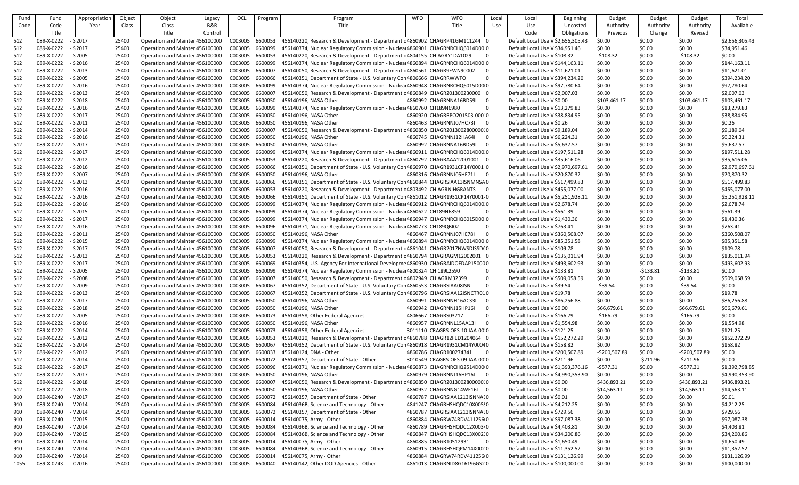| Fund | Fund                | Appropriation | Object | Object                          | Legacy  | OCL     | Program            | Program                                                                                        | <b>WFO</b> | <b>WFO</b>                                         | Local          | Local                              | <b>Beginning</b> | <b>Budget</b>  | <b>Budget</b> | <b>Budget</b>  | Total          |
|------|---------------------|---------------|--------|---------------------------------|---------|---------|--------------------|------------------------------------------------------------------------------------------------|------------|----------------------------------------------------|----------------|------------------------------------|------------------|----------------|---------------|----------------|----------------|
| Code | Code                | Year          | Class  | Class                           | B&R     |         |                    | Title                                                                                          |            | Title                                              | Use            | Use                                | Uncosted         | Authority      | Authority     | Authority      | Available      |
|      | Title               |               |        | Title                           | Control |         |                    |                                                                                                |            |                                                    |                | Code                               | Obligations      | Previous       | Change        | Revised        |                |
| 512  | 089-X-0222          | $-$ S 2017    | 25400  | Operation and Mainter 456100000 |         | C003005 | 6600053            | 456140220, Research & Development - Department c 4860902 CHAGRP41GM111244 0                    |            |                                                    |                | Default Local Use V \$2,656,305.43 |                  | \$0.00         | \$0.00        | \$0.00         | \$2,656,305.43 |
| 512  | 089-X-0222          | $-$ S 2017    | 25400  | Operation and Mainter 456100000 |         | C003005 | 6600099            | 456140374, Nuclear Regulatory Commission - Nuclear 4860901 CHAGRNRCHQ6014D00 0                 |            |                                                    |                | Default Local Use V \$34,951.46    |                  | \$0.00         | \$0.00        | \$0.00         | \$34,951.46    |
| 512  | 089-X-0222          | $-$ S 2005    | 25400  | Operation and Mainter 456100000 |         | C003005 | 6600053            | 456140220, Research & Development - Department c 4804155 CH AGRY1DA1029                        |            | - 0                                                |                | Default Local Use V \$108.32       |                  | $-5108.32$     | \$0.00        | $-5108.32$     | \$0.00         |
| 512  | 089-X-0222          | $-$ S 2016    | 25400  | Operation and Mainter 456100000 |         | C003005 | 6600099            | 456140374, Nuclear Regulatory Commission - Nuclear 4860894 CHAGRNRCHQ6014D00 0                 |            |                                                    |                | Default Local Use V \$144,163.11   |                  | \$0.00         | \$0.00        | \$0.00         | \$144,163.11   |
| 512  | 089-X-0222          | $-$ S 2013    | 25400  | Operation and Mainter 456100000 |         | C003005 | 6600007            | 456140050, Research & Development - Department c 4860561 CHAGR9EWN90002                        |            |                                                    |                | Default Local Use V \$11,621.01    |                  | \$0.00         | \$0.00        | \$0.00         | \$11,621.01    |
| 512  | 089-X-0222          | $-$ S 2005    | 25400  | Operation and Mainter 456100000 |         | C003005 | 6600066            | 456140351, Department of State - U.S. Voluntary Con 4806666 CHAGRRWWFO                         |            | - 0                                                |                | Default Local Use V \$394,234.20   |                  | \$0.00         | \$0.00        | \$0.00         | \$394,234.20   |
| 512  | 089-X-0222          | - S 2016      | 25400  | Operation and Mainter 456100000 |         | C003005 | 6600099            | 456140374, Nuclear Regulatory Commission - Nuclear 4860948 CHAGRNRCHQ6015D00r0                 |            |                                                    |                | Default Local Use V \$97,780.64    |                  | \$0.00         | \$0.00        | \$0.00         | \$97,780.64    |
| 512  | 089-X-0222          | - S 2013      | 25400  | Operation and Mainter 456100000 |         | C003005 | 6600007            | 456140050, Research & Development - Department c 4860849 CHAGR201300230000 0                   |            |                                                    |                | Default Local Use V \$2,007.03     |                  | \$0.00         | \$0.00        | \$0.00         | \$2,007.03     |
| 512  | 089-X-0222          | - S 2018      | 25400  | Operation and Mainter 456100000 |         | C003005 | 6600050            | 456140196, NASA Other                                                                          |            | 4860992 CHAGRNNA16BD59I<br>- 0                     |                | Default Local Use V \$0.00         |                  | \$103,461.17   | \$0.00        | \$103,461.17   | \$103,461.17   |
|      | 089-X-0222          | - S 2016      |        | Operation and Mainter 456100000 |         | C003005 |                    |                                                                                                |            | -0                                                 |                | Default Local Use V \$13,279.83    |                  |                | \$0.00        |                | \$13,279.83    |
| 512  | 089-X-0222          | $-$ S 2017    | 25400  | Operation and Mainter 456100000 |         | C003005 | 6600099<br>6600050 | 456140374, Nuclear Regulatory Commission - Nuclear 4860760 CH189N6980<br>456140196, NASA Other |            | 4860920 CHAGRRPO201503-00010                       |                | Default Local Use V \$38,834.95    |                  | \$0.00         | \$0.00        | \$0.00         | \$38,834.95    |
| 512  |                     |               | 25400  |                                 |         |         |                    |                                                                                                |            | 4860463 CHAGRNNJ07HC73I                            |                |                                    |                  | \$0.00         |               | \$0.00         |                |
| 512  | 089-X-0222          | - S 2011      | 25400  | Operation and Mainter 456100000 |         | C003005 | 6600050            | 456140196, NASA Other                                                                          |            | - 0                                                |                | Default Local Use V \$0.26         |                  | \$0.00         | \$0.00        | \$0.00         | \$0.26         |
| 512  | 089-X-0222          | - S 2014      | 25400  | Operation and Mainter 456100000 |         | C003005 | 6600007            | 456140050, Research & Development - Department c 4860850 CHAGR201300280000010                  |            |                                                    |                | Default Local Use V \$9,189.04     |                  | \$0.00         | \$0.00        | \$0.00         | \$9,189.04     |
| 512  | 089-X-0222          | - S 2016      | 25400  | Operation and Mainter 456100000 |         | C003005 | 6600050            | 456140196, NASA Other                                                                          |            | 4860745 CHAGRNNJ12HA64I<br>- 0                     |                | Default Local Use V \$6,224.31     |                  | \$0.00         | \$0.00        | \$0.00         | \$6,224.31     |
| 512  | 089-X-0222          | - S 2017      | 25400  | Operation and Mainter 456100000 |         | C003005 | 6600050            | 456140196, NASA Other                                                                          |            | 4860992 CHAGRNNA16BD59I<br>$\overline{0}$          |                | Default Local Use V \$5,637.57     |                  | \$0.00         | \$0.00        | \$0.00         | \$5,637.57     |
| 512  | 089-X-0222          | $-$ S 2017    | 25400  | Operation and Mainter 456100000 |         | C003005 | 6600099            | 456140374, Nuclear Regulatory Commission - Nuclear 4860911 CHAGRNRCHQ6014D00.0                 |            |                                                    |                | Default Local Use V \$197,511.28   |                  | \$0.00         | \$0.00        | \$0.00         | \$197,511.28   |
| 512  | 089-X-0222          | $-$ S 2012    | 25400  | Operation and Mainter 456100000 |         | C003005 | 6600053            | 456140220, Research & Development - Department c 4860792 CHAGRAAA12001001 0                    |            |                                                    |                | Default Local Use V \$35,616.06    |                  | \$0.00         | \$0.00        | \$0.00         | \$35,616.06    |
| 512  | 089-X-0222          | $-$ S 2016    | 25400  | Operation and Mainter 456100000 |         | C003005 | 6600066            | 456140351, Department of State - U.S. Voluntary Con 4860970 CHAGR1931CP14Y0001 0               |            |                                                    |                | Default Local Use V \$2,970,697.61 |                  | \$0.00         | \$0.00        | \$0.00         | \$2,970,697.61 |
| 512  | 089-X-0222          | - S 2007      | 25400  | Operation and Mainter 456100000 |         | C003005 | 6600050            | 456140196, NASA Other                                                                          |            | 4860316 CHAGRNNJ05HE71I<br>$\overline{\mathbf{0}}$ |                | Default Local Use V \$20,870.32    |                  | \$0.00         | \$0.00        | \$0.00         | \$20,870.32    |
| 512  | 089-X-0222          | $-$ S 2013    | 25400  | Operation and Mainter 456100000 |         | C003005 | 6600066            | 456140351, Department of State - U.S. Voluntary Con 4860844 CHAGRSIAA13ISNMNSA0                |            |                                                    |                | Default Local Use V \$517,499.83   |                  | \$0.00         | \$0.00        | \$0.00         | \$517,499.83   |
| 512  | 089-X-0222          | - S 2016      | 25400  | Operation and Mainter 456100000 |         | C003005 | 6600053            | 456140220, Research & Development - Department c 4803492 CH AGRNIHGRANTS 0                     |            |                                                    |                | Default Local Use V \$455,077.00   |                  | \$0.00         | \$0.00        | \$0.00         | \$455,077.00   |
| 512  | 089-X-0222          | - S 2016      | 25400  | Operation and Mainter 456100000 |         | C003005 | 6600066            | 456140351, Department of State - U.S. Voluntary Con 4861012 CHAGR1931CP14Y0001-0               |            |                                                    |                | Default Local Use V \$5,251,928.11 |                  | \$0.00         | \$0.00        | \$0.00         | \$5,251,928.11 |
| 512  | 089-X-0222          | $-$ S 2016    | 25400  | Operation and Mainter 456100000 |         | C003005 | 6600099            | 456140374, Nuclear Regulatory Commission - Nuclear 4860912 CHAGRNRCHQ6014D00.0                 |            |                                                    |                | Default Local Use V \$2,678.74     |                  | \$0.00         | \$0.00        | \$0.00         | \$2,678.74     |
| 512  | 089-X-0222          | - S 2015      | 25400  | Operation and Mainter 456100000 |         | C003005 | 6600099            | 456140374, Nuclear Regulatory Commission - Nuclear 4860622 CH189N6859                          |            | -0                                                 |                | Default Local Use V \$561.39       |                  | \$0.00         | \$0.00        | \$0.00         | \$561.39       |
| 512  | 089-X-0222          | $-$ S 2017    | 25400  | Operation and Mainter 456100000 |         | C003005 | 6600099            | 456140374, Nuclear Regulatory Commission - Nuclear 4860947 CHAGRNRCHQ6015D00 0                 |            |                                                    |                | Default Local Use V \$1,430.36     |                  | \$0.00         | \$0.00        | \$0.00         | \$1,430.36     |
| 512  | 089-X-0222          | $-$ S 2016    | 25400  | Operation and Mainter 456100000 |         | C003005 | 6600096            | 456140371, Nuclear Regulatory Commission - Nuclear 4860773 CH189QBI02                          |            |                                                    | $\mathbf{0}$   | Default Local Use V \$763.41       |                  | \$0.00         | \$0.00        | \$0.00         | \$763.41       |
| 512  | 089-X-0222          | $-$ S 2011    | 25400  | Operation and Mainter 456100000 |         | C003005 | 6600050            | 456140196, NASA Other                                                                          |            | 4860467 CHAGRNNJ07HE78I<br>- 0                     |                | Default Local Use V \$360,508.07   |                  | \$0.00         | \$0.00        | \$0.00         | \$360,508.07   |
| 512  | 089-X-0222          | $-$ S 2015    | 25400  | Operation and Mainter 456100000 |         | C003005 | 6600099            | 456140374, Nuclear Regulatory Commission - Nuclear 4860894 CHAGRNRCHQ6014D00 0                 |            |                                                    |                | Default Local Use V \$85,351.58    |                  | \$0.00         | \$0.00        | \$0.00         | \$85,351.58    |
| 512  | 089-X-0222          | - S 2017      | 25400  | Operation and Mainter 456100000 |         | C003005 | 660000             | 456140050, Research & Development - Department c 4861041 CHAGR2017NWSDISSDC0                   |            |                                                    |                | Default Local Use V \$109.78       |                  | \$0.00         | \$0.00        | \$0.00         | \$109.78       |
| 512  | 089-X-0222          | $-$ S 2013    | 25400  | Operation and Mainter 456100000 |         | C003005 | 6600053            | 456140220, Research & Development - Department c 4860794 CHAGRAGM12002001 0                    |            |                                                    |                | Default Local Use V \$135,011.94   |                  | \$0.00         | \$0.00        | \$0.00         | \$135,011.94   |
| 512  | 089-X-0222          | $-$ S 2017    | 25400  | Operation and Mainter 456100000 |         | C003005 | 6600069            | 456140354, U.S. Agency For International Developme 4860930 CHAGRAIDOFDAP150000                 |            |                                                    |                | Default Local Use V \$493,602.93   |                  | \$0.00         | \$0.00        | \$0.00         | \$493,602.93   |
| 512  | 089-X-0222          | - S 2005      | 25400  | Operation and Mainter 456100000 |         | C003005 | 6600099            | 456140374, Nuclear Regulatory Commission - Nuclear 4800324 CH 189L2590                         |            |                                                    | 0              | Default Local Use V \$133.81       |                  | \$0.00         | $-5133.81$    | $-5133.81$     | \$0.00         |
| 512  | 089-X-0222          | - S 2008      | 25400  | Operation and Mainter 456100000 |         | C003005 | 6600007            | 456140050, Research & Development - Department c 4802949 CH AGRM32399                          |            |                                                    | $\mathbf 0$    | Default Local Use V \$509,058.59   |                  | \$0.00         | \$0.00        | \$0.00         | \$509,058.59   |
| 512  | 089-X-0222          | - S 2009      | 25400  | Operation and Mainter 456100000 |         | C003005 | 6600067            | 456140352, Department of State - U.S. Voluntary Con 4860553 CHAGRSIAA08ISN                     |            | $\Omega$                                           |                | Default Local Use V \$39.54        |                  | $-539.54$      | \$0.00        | $-539.54$      | \$0.00         |
| 512  | 089-X-0222          | $-$ S 2013    | 25400  | Operation and Mainter 456100000 |         | C003005 | 6600067            | 456140352, Department of State - U.S. Voluntary Con 4860796 CHAGRSIAA12ISNCTR010               |            |                                                    |                | Default Local Use V \$19.78        |                  | \$0.00         | \$0.00        | \$0.00         | \$19.78        |
|      | 089-X-0222          | $-$ S 2017    | 25400  | Operation and Mainter 456100000 |         | C003005 | 6600050            | 456140196, NASA Other                                                                          |            | 4860991 CHAGRNNH16AC33I<br>- 0                     |                | Default Local Use V \$86,256.88    |                  | \$0.00         | \$0.00        | \$0.00         | \$86,256.88    |
| 512  |                     |               |        |                                 |         |         |                    |                                                                                                |            |                                                    |                |                                    |                  |                |               |                |                |
| 512  | 089-X-0222          | - S 2018      | 25400  | Operation and Mainter 456100000 |         | C003005 | 6600050            | 456140196, NASA Other                                                                          |            | 4860942 CHAGRNNJ15HP16I<br>- 0                     |                | Default Local Use V \$0.00         |                  | \$66,679.61    | \$0.00        | \$66,679.61    | \$66,679.61    |
| 512  | 089-X-0222          | - S 2005      | 25400  | Operation and Mainter 456100000 |         | C003005 | 6600073            | 456140358, Other Federal Agencies                                                              |            | 4806667 CHAGRS03717<br>-0                          |                | Default Local Use V \$166.79       |                  | $-$166.79$     | \$0.00        | $-$166.79$     | \$0.00         |
| 512  | 089-X-0222 - S 2016 |               | 25400  | Operation and Mainter 456100000 |         | C003005 | 6600050            | 456140196, NASA Other                                                                          |            | 4860957 CHAGRNNL15AA13I<br>- 0                     |                | Default Local Use V \$1,554.98     |                  | \$0.00         | \$0.00        | \$0.00         | \$1,554.98     |
| 512  | 089-X-0222 - S 2014 |               | 25400  | Operation and Mainter 456100000 |         | C003005 | 6600073            | 456140358, Other Federal Agencies                                                              |            | 3011110 CRAGRS-OES-10-IAA-00.0                     |                | Default Local Use V \$121.25       |                  | \$0.00         | \$0.00        | \$0.00         | \$121.25       |
| 512  | 089-X-0222          | $-52012$      | 25400  | Operation and Mainter 456100000 |         | C003005 | 6600053            | 456140220, Research & Development - Department c 4860788 CHAGR12FED1204064 0                   |            |                                                    |                | Default Local Use V \$152,272.29   |                  | \$0.00         | \$0.00        | \$0.00         | \$152,272.29   |
| 512  | 089-X-0222          | - S 2014      | 25400  | Operation and Mainter 456100000 |         | C003005 | 660006             | 456140352, Department of State - U.S. Voluntary Con 4860918 CHAGR1931CM14Y00040                |            |                                                    |                | Default Local Use V \$158.82       |                  | \$0.00         | \$0.00        | \$0.00         | \$158.82       |
| 512  | 089-X-0222          | $-52012$      | 25400  | Operation and Mainter 456100000 |         | C003005 | 6600033            | 456140124, DNA - Other                                                                         |            | 4860786 CHAGR100274341<br>- 0                      |                | Default Local Use V \$200,507.89   |                  | $-5200,507.89$ | \$0.00        | $-$200,507.89$ | \$0.00         |
| 512  | 089-X-0222          | $-$ S 2014    | 25400  | Operation and Mainter 456100000 |         | C003005 | 6600072            | 456140357, Department of State - Other                                                         |            | 3010549 CRAGRS-OES-09-IAA-00.0                     |                | Default Local Use V \$211.96       |                  | \$0.00         | $-5211.96$    | $-5211.96$     | \$0.00         |
| 512  | 089-X-0222          | $-$ S 2017    | 25400  | Operation and Mainter 456100000 |         | C003005 | 6600096            | 456140371, Nuclear Regulatory Commission - Nuclear 4860873 CHAGRNRCHQ2514D00r0                 |            |                                                    |                | Default Local Use V \$1,393,376.16 |                  | $-5577.31$     | \$0.00        | $-5577.31$     | \$1,392,798.85 |
| 512  | 089-X-0222          | $-$ S 2017    | 25400  | Operation and Mainter 456100000 |         | C003005 | 6600050            | 456140196, NASA Other                                                                          |            | 4860979 CHAGRNNJ16HP16I<br>$\overline{\mathbf{0}}$ |                | Default Local Use V \$4,990,353.90 |                  | \$0.00         | \$0.00        | \$0.00         | \$4,990,353.90 |
| 512  | 089-X-0222          | $-$ S 2018    | 25400  | Operation and Mainter 456100000 |         | C003005 | 6600007            | 456140050, Research & Development - Department c 4860850 CHAGR201300280000010                  |            |                                                    |                | Default Local Use V \$0.00         |                  | \$436,893.21   | \$0.00        | \$436,893.21   | \$436,893.21   |
| 512  | 089-X-0222          | $-52018$      | 25400  | Operation and Mainter 456100000 |         | C003005 | 6600050            | 456140196, NASA Other                                                                          |            | 4860932 CHAGRNNG14WF16I 0                          |                | Default Local Use V \$0.00         |                  | \$14,563.11    | \$0.00        | \$14,563.11    | \$14,563.11    |
| 910  | 089-X-0240          | - V 2017      | 25400  | Operation and Mainter 456100000 |         | C003005 | 6600072            | 456140357, Department of State - Other                                                         |            | 4860787 CHAGRSIAA1213ISNNAI0                       |                | Default Local Use V \$0.01         |                  | \$0.00         | \$0.00        | \$0.00         | \$0.01         |
| 910  | 089-X-0240          | - V 2014      | 25400  | Operation and Mainter 456100000 |         | C003005 | 6600084            | 45614036B, Science and Technology - Other                                                      |            | 4841247 CHAGRHSHQDC10X005!0                        |                | Default Local Use V \$4,212.25     |                  | \$0.00         | \$0.00        | \$0.00         | \$4,212.25     |
| 910  | 089-X-0240          | - V 2014      | 25400  | Operation and Mainter 456100000 |         | C003005 | 6600072            | 456140357, Department of State - Other                                                         |            | 4860787 CHAGRSIAA1213ISNNAI0                       |                | Default Local Use V \$729.56       |                  | \$0.00         | \$0.00        | \$0.00         | \$729.56       |
| 910  | 089-X-0240          | $-$ V 2015    | 25400  | Operation and Mainter 456100000 |         | C003005 | 6600014            | 456140075, Army - Other                                                                        |            | 4860884 CHAGRW74RDV411256(0                        |                | Default Local Use V \$97,087.38    |                  | \$0.00         | \$0.00        | \$0.00         | \$97,087.38    |
| 910  | 089-X-0240          | - V 2014      | 25400  | Operation and Mainter 456100000 |         | C003005 | 6600084            | 45614036B, Science and Technology - Other                                                      |            | 4860789 CHAGRHSHQDC12X00340                        |                | Default Local Use V \$4,403.81     |                  | \$0.00         | \$0.00        | \$0.00         | \$4,403.81     |
| 910  | 089-X-0240          | $-$ V 2015    | 25400  | Operation and Mainter 456100000 |         | C003005 | 6600084            | 45614036B, Science and Technology - Other                                                      |            | 4860847 CHAGRHSHQDC13X002:0                        |                | Default Local Use V \$34,200.86    |                  | \$0.00         | \$0.00        | \$0.00         | \$34,200.86    |
| 910  | 089-X-0240          | - V 2014      | 25400  | Operation and Mainter 456100000 |         | C003005 | 6600014            | 456140075, Army - Other                                                                        |            | 4860885 CHAGR10512931                              | $\overline{0}$ | Default Local Use V \$1,650.49     |                  | \$0.00         | \$0.00        | \$0.00         | \$1,650.49     |
| 910  | 089-X-0240          | $- V 2014$    | 25400  | Operation and Mainter 456100000 |         | C003005 | 6600084            | 45614036B, Science and Technology - Other                                                      |            | 4860915 CHAGRHSHQPM14X002 0                        |                | Default Local Use V \$11,352.52    |                  | \$0.00         | \$0.00        | \$0.00         | \$11,352.52    |
| 910  | 089-X-0240          | $- V 2014$    | 25400  | Operation and Mainter 456100000 |         | C003005 | 6600014            | 456140075, Army - Other                                                                        |            | 4860884 CHAGRW74RDV4112560                         |                | Default Local Use V \$131,126.99   |                  | \$0.00         | \$0.00        | \$0.00         | \$131,126.99   |
| 1055 | 089-X-0243          | $-$ C 2016    | 25400  | Operation and Mainter 456100000 |         | C003005 | 6600040            | 456140142, Other DOD Agencies - Other                                                          |            | 4861013 CHAGRNID8G16196GS20                        |                | Default Local Use V \$100,000.00   |                  | \$0.00         | \$0.00        | \$0.00         | \$100,000.00   |
|      |                     |               |        |                                 |         |         |                    |                                                                                                |            |                                                    |                |                                    |                  |                |               |                |                |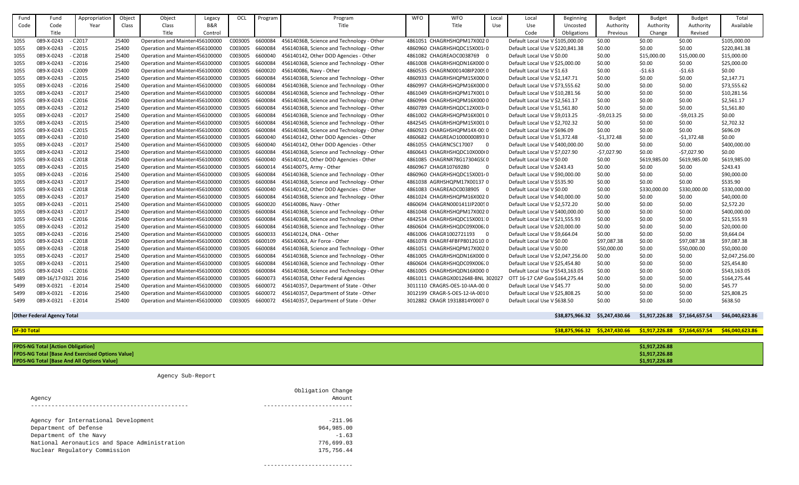| Fund        | Fund                                     | Appropriation                                           | Object | Object                          | Legacy  | OCL     | Program | Program                                   | <b>WFO</b> | <b>WFO</b>                        | Local          | Local                              | Beginning                      | <b>Budget</b>                                                    | <b>Budget</b>  | <b>Budget</b>  | Total           |
|-------------|------------------------------------------|---------------------------------------------------------|--------|---------------------------------|---------|---------|---------|-------------------------------------------|------------|-----------------------------------|----------------|------------------------------------|--------------------------------|------------------------------------------------------------------|----------------|----------------|-----------------|
| Code        | Code                                     | Year                                                    | Class  | Class                           | B&R     |         |         | Title                                     |            | Title                             | Use            | Use                                | Uncosted                       | Authority                                                        | Authority      | Authority      | Available       |
|             | Title                                    |                                                         |        | Title                           | Control |         |         |                                           |            |                                   |                | Code                               | Obligations                    | Previous                                                         | Change         | Revised        |                 |
| 1055        | 089-X-0243                               | $-$ C 2017                                              | 25400  | Operation and Mainter 456100000 |         | C003005 | 6600084 | 45614036B, Science and Technology - Other |            | 4861051 CHAGRHSHQPM17X0020        |                | Default Local Use V \$105,000.00   |                                | \$0.00                                                           | \$0.00         | \$0.00         | \$105,000.00    |
| 1055        | 089-X-0243                               | $-$ C 2015                                              | 25400  | Operation and Mainter 456100000 |         | C003005 | 6600084 | 45614036B, Science and Technology - Other |            | 4860960 CHAGRHSHQDC15X00140       |                | Default Local Use V \$220,841.38   |                                | \$0.00                                                           | \$0.00         | \$0.00         | \$220,841.38    |
| 1055        | 089-X-0243                               | $-$ C 2018                                              | 25400  | Operation and Mainter 456100000 |         | C003005 | 6600040 | 456140142, Other DOD Agencies - Other     |            | 4861082 CHAGREAOC0038769 0        |                | Default Local Use V \$0.00         |                                | \$0.00                                                           | \$15,000.00    | \$15,000.00    | \$15,000.00     |
| 1055        | 089-X-0243                               | $-$ C 2016                                              | 25400  | Operation and Mainter 456100000 |         | C003005 | 6600084 | 45614036B, Science and Technology - Other |            | 4861008 CHAGRHSHQDN16X000.0       |                | Default Local Use V \$25,000.00    |                                | \$0.00                                                           | \$0.00         | \$0.00         | \$25,000.00     |
| 1055        | 089-X-0243                               | $-$ C 2009                                              | 25400  | Operation and Mainter 456100000 |         | C003005 | 6600020 | 456140086, Navy - Other                   |            | 4860535 CHAGRN0001408IP20090      |                | Default Local Use V \$1.63         |                                | \$0.00                                                           | $-51.63$       | $-51.63$       | \$0.00          |
| 1055        | 089-X-0243                               | $-$ C 2015                                              | 25400  | Operation and Mainter 456100000 |         | C003005 | 6600084 | 45614036B, Science and Technology - Other |            | 4860933 CHAGRHSHQPM15X000 0       |                | Default Local Use V \$2,147.71     |                                | \$0.00                                                           | \$0.00         | \$0.00         | \$2,147.71      |
| 1055        | 089-X-0243                               | $-$ C 2016                                              | 25400  | Operation and Mainter 456100000 |         | C003005 | 6600084 | 45614036B, Science and Technology - Other |            | 4860997 CHAGRHSHQPM16X0000        |                | Default Local Use V \$73,555.62    |                                | \$0.00                                                           | \$0.00         | \$0.00         | \$73,555.62     |
| 1055        | 089-X-0243                               | $-$ C 2017                                              | 25400  | Operation and Mainter 456100000 |         | C003005 | 6600084 | 45614036B, Science and Technology - Other |            | 4861049 CHAGRHSHQPM17X0010        |                | Default Local Use V \$10,281.56    |                                | \$0.00                                                           | \$0.00         | \$0.00         | \$10,281.56     |
| 1055        | 089-X-0243                               | $-$ C 2016                                              | 25400  | Operation and Mainter 456100000 |         | C003005 | 6600084 | 45614036B, Science and Technology - Other |            | 4860994 CHAGRHSHQPM16X000 0       |                | Default Local Use V \$2,561.17     |                                | \$0.00                                                           | \$0.00         | \$0.00         | \$2,561.17      |
| 1055        | 089-X-0243                               | $-$ C 2012                                              | 25400  | Operation and Mainter 456100000 |         | C003005 | 6600084 | 45614036B, Science and Technology - Other |            | 4860789 CHAGRHSHQDC12X00340       |                | Default Local Use V \$1,561.80     |                                | \$0.00                                                           | \$0.00         | \$0.00         | \$1,561.80      |
| 1055        | 089-X-0243                               | $-$ C 2017                                              | 25400  | Operation and Mainter 456100000 |         | C003005 | 6600084 | 45614036B, Science and Technology - Other |            | 4861002 CHAGRHSHQPM16X0010        |                | Default Local Use V \$9,013.25     |                                | $-59,013.25$                                                     | \$0.00         | $-59,013.25$   | \$0.00          |
| 1055        | 089-X-0243                               | $-$ C 2015                                              | 25400  | Operation and Mainter 456100000 |         | C003005 | 6600084 | 45614036B, Science and Technology - Other |            | 4842545 CHAGRHSHQPM15X0010        |                | Default Local Use V \$2,702.32     |                                | \$0.00                                                           | \$0.00         | \$0.00         | \$2,702.32      |
| 1055        | 089-X-0243                               | $-$ C 2015                                              | 25400  | Operation and Mainter 456100000 |         | C003005 | 6600084 | 45614036B, Science and Technology - Other |            | 4860923 CHARGHSHQPM14X-0010       |                | Default Local Use V \$696.09       |                                | \$0.00                                                           | \$0.00         | \$0.00         | \$696.09        |
| 1055        | 089-X-0243                               | $-$ C 2010                                              | 25400  | Operation and Mainter 456100000 |         | C003005 | 6600040 | 456140142, Other DOD Agencies - Other     |            | 4860682 CHAGREAO10000008930       |                | Default Local Use V \$1,372.48     |                                | $-$1,372.48$                                                     | \$0.00         | $-51,372.48$   | \$0.00          |
| 1055        | 089-X-0243                               | $-$ C 2017                                              | 25400  | Operation and Mainter 456100000 |         | C003005 | 6600040 | 456140142, Other DOD Agencies - Other     |            | 4861055 CHAGRNCSC17007            | - 0            | Default Local Use V \$400,000.00   |                                | \$0.00                                                           | \$0.00         | \$0.00         | \$400,000.00    |
| 1055        | 089-X-0243                               | $-$ C 2012                                              | 25400  | Operation and Mainter 456100000 |         | C003005 | 6600084 | 45614036B, Science and Technology - Other |            | 4860643 CHAGRHSHQDC10X000(0       |                | Default Local Use V \$7,027.90     |                                | $-57,027.90$                                                     | \$0.00         | $-57,027.90$   | \$0.00          |
| 1055        | 089-X-0243                               | $-$ C 2018                                              | 25400  | Operation and Mainter 456100000 |         | C003005 | 6600040 | 456140142, Other DOD Agencies - Other     |            | 4861085 CHAGRNR78G17304GS(0       |                | Default Local Use V \$0.00         |                                | \$0.00                                                           | \$619,985.00   | \$619,985.00   | \$619,985.00    |
| 1055        | 089-X-0243                               | $-$ C 2015                                              | 25400  | Operation and Mainter 456100000 |         | C003005 | 6600014 | 456140075, Army - Other                   |            | 4860967 CHAGR10769280             | $\overline{0}$ | Default Local Use V \$243.43       |                                | \$0.00                                                           | \$0.00         | \$0.00         | \$243.43        |
| 1055        | 089-X-0243                               | $-$ C 2016                                              | 25400  | Operation and Mainter 456100000 |         | C003005 | 6600084 | 45614036B, Science and Technology - Other |            | 4860960 CHAGRHSHQDC15X001/0       |                | Default Local Use V \$90,000.00    |                                | \$0.00                                                           | \$0.00         | \$0.00         | \$90,000.00     |
| 1055        | 089-X-0243                               | $-$ C 2017                                              | 25400  | Operation and Mainter 456100000 |         | C003005 | 6600084 | 45614036B, Science and Technology - Other |            | 4861038 AGRHSHQPM17X00137 0       |                | Default Local Use V \$535.90       |                                | \$0.00                                                           | \$0.00         | \$0.00         | \$535.90        |
| 1055        | 089-X-0243                               | $-$ C 2018                                              | 25400  | Operation and Mainter 456100000 |         | C003005 | 6600040 | 456140142, Other DOD Agencies - Other     |            | 4861083 CHAGREAOC0038905 0        |                | Default Local Use V \$0.00         |                                | \$0.00                                                           | \$330,000.00   | \$330,000.00   | \$330,000.00    |
| 1055        | 089-X-0243                               | $-$ C 2017                                              | 25400  | Operation and Mainter 456100000 |         | C003005 | 6600084 | 45614036B, Science and Technology - Other |            | 4861024 CHAGRHSHQPM16X0020        |                | Default Local Use V \$40,000.00    |                                | \$0.00                                                           | \$0.00         | \$0.00         | \$40,000.00     |
| 1055        | 089-X-0243                               | $-$ C 2011                                              | 25400  | Operation and Mainter 456100000 |         | C003005 | 6600020 | 456140086, Navy - Other                   |            | 4860694 CHAGRN0001411IP20050      |                | Default Local Use V \$2,572.20     |                                | \$0.00                                                           | \$0.00         | \$0.00         | \$2,572.20      |
| 1055        | 089-X-0243                               | - C 2017                                                | 25400  | Operation and Mainter 456100000 |         | C003005 | 6600084 | 45614036B, Science and Technology - Other |            | 4861048 CHAGRHSHQPM17X0020        |                | Default Local Use V \$400,000.00   |                                | \$0.00                                                           | \$0.00         | \$0.00         | \$400,000.00    |
| 1055        | 089-X-0243                               | - C 2016                                                | 25400  | Operation and Mainter 456100000 |         | C003005 | 6600084 | 45614036B, Science and Technology - Other |            | 4842534 CHAGRHSHQDC15X001:0       |                | Default Local Use V \$21,555.93    |                                | \$0.00                                                           | \$0.00         | \$0.00         | \$21,555.93     |
| 1055        | 089-X-0243                               | $-$ C 2012                                              | 25400  | Operation and Mainter 456100000 |         | C003005 | 6600084 | 45614036B, Science and Technology - Other |            | 4860604 CHAGRHSHQDC09X006.0       |                | Default Local Use V \$20,000.00    |                                | \$0.00                                                           | \$0.00         | \$0.00         | \$20,000.00     |
| 1055        | 089-X-0243                               | $-$ C 2016                                              | 25400  | Operation and Mainter 456100000 |         | C003005 | 6600033 | 456140124, DNA - Other                    |            | 4861006 CHAGR1002721193           | $\overline{0}$ | Default Local Use V \$9,664.04     |                                | \$0.00                                                           | \$0.00         | \$0.00         | \$9,664.04      |
| 1055        | 089-X-0243                               | $-$ C 2018                                              | 25400  | Operation and Mainter 456100000 |         | C003005 | 6600109 | 456140063, Air Force - Other              |            | 4861078 CHAGRF4FBFP8012G10:0      |                | Default Local Use V \$0.00         |                                | \$97,087.38                                                      | \$0.00         | \$97,087.38    | \$97,087.38     |
| 1055        | 089-X-0243                               | $-$ C 2018                                              | 25400  | Operation and Mainter 456100000 |         | C003005 | 6600084 | 45614036B, Science and Technology - Other |            | 4861051 CHAGRHSHQPM17X0020        |                | Default Local Use V \$0.00         |                                | \$50,000.00                                                      | \$0.00         | \$50,000.00    | \$50,000.00     |
| 1055        | 089-X-0243                               | $-$ C 2017                                              | 25400  | Operation and Mainter 456100000 |         | C003005 | 6600084 | 45614036B, Science and Technology - Other |            | 4861005 CHAGRHSHQDN16X000 0       |                | Default Local Use V \$2,047,256.00 |                                | \$0.00                                                           | \$0.00         | \$0.00         | \$2,047,256.00  |
| 1055        | 089-X-0243                               | $-$ C 2011                                              | 25400  | Operation and Mainter 456100000 |         | C003005 | 6600084 | 45614036B, Science and Technology - Other |            | 4860604 CHAGRHSHQDC09X00620       |                | Default Local Use V \$25,454.80    |                                | \$0.00                                                           | \$0.00         | \$0.00         | \$25,454.80     |
| 1055        | 089-X-0243 - C 2016                      |                                                         | 25400  | Operation and Mainter 456100000 |         | C003005 | 6600084 | 45614036B, Science and Technology - Other |            | 4861005 CHAGRHSHQDN16X000 0       |                | Default Local Use V \$543,163.05   |                                | \$0.00                                                           | \$0.00         | \$0.00         | \$543,163.05    |
| 5489        | 089-16/17-0321 2016                      |                                                         | 25400  | Operation and Mainter 456100000 |         | C003005 | 6600073 | 456140358, Other Federal Agencies         |            | 4861011 CHAGRGX0012648-BNL 302027 |                | OTT 16-17 CAP Goa \$164,275.44     |                                | \$0.00                                                           | \$0.00         | \$0.00         | \$164,275.44    |
| 5499        | 089-X-0321 - E2014                       |                                                         | 25400  | Operation and Mainter 456100000 |         | C003005 | 6600072 | 456140357, Department of State - Other    |            | 3011110 CRAGRS-OES-10-IAA-00.0    |                | Default Local Use V \$45.77        |                                | \$0.00                                                           | \$0.00         | \$0.00         | \$45.77         |
| 5499        | 089-X-0321                               | - E 2016                                                | 25400  | Operation and Mainter 456100000 |         | C003005 | 6600072 | 456140357, Department of State - Other    |            | 3012199 CRAGR-S-OES-12-IA-0010    |                | Default Local Use V \$25,808.25    |                                | \$0.00                                                           | \$0.00         | \$0.00         | \$25,808.25     |
| 5499        | 089-X-0321 - E2014                       |                                                         | 25400  | Operation and Mainter 456100000 |         | C003005 | 6600072 | 456140357, Department of State - Other    |            | 3012882 CRAGR 19318814Y0007 0     |                | Default Local Use V \$638.50       |                                | \$0.00                                                           | \$0.00         | \$0.00         | \$638.50        |
|             | <b>Other Federal Agency Total</b>        |                                                         |        |                                 |         |         |         |                                           |            |                                   |                |                                    | \$38,875,966.32 \$5,247,430.66 |                                                                  | \$1,917,226.88 | \$7,164,657.54 | \$46,040,623.86 |
| SF-30 Total |                                          |                                                         |        |                                 |         |         |         |                                           |            |                                   |                |                                    |                                | $$38,875,966.32$ $$5,247,430.66$ $$1,917,226.88$ $$7,164,657.54$ |                |                | \$46,040,623.86 |
|             |                                          |                                                         |        |                                 |         |         |         |                                           |            |                                   |                |                                    |                                |                                                                  |                |                |                 |
|             | <b>FPDS-NG Total [Action Obligation]</b> |                                                         |        |                                 |         |         |         |                                           |            |                                   |                |                                    |                                |                                                                  | \$1,917,226.88 |                |                 |
|             |                                          | <b>FPDS-NG Total [Base And Exercised Options Value]</b> |        |                                 |         |         |         |                                           |            |                                   |                |                                    |                                |                                                                  | \$1,917,226.88 |                |                 |
|             |                                          | <b>FPDS-NG Total [Base And All Options Value]</b>       |        |                                 |         |         |         |                                           |            |                                   |                |                                    |                                |                                                                  | \$1,917,226.88 |                |                 |

Agency Sub-Report

| Obligation Change<br>Amount |
|-----------------------------|
| $-211.96$                   |
| 964,985.00                  |
| $-1.63$                     |
| 776,699.03                  |
| 175,756.44                  |
|                             |

--------------------------